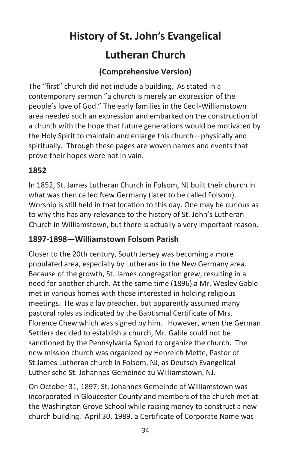# **History of St. John's Evangelical Lutheran Church**

# **(Comprehensive Version)**

The "first" church did not include a building. As stated in a contemporary sermon "a church is merely an expression of the people's love of God." The early families in the Cecil-Williamstown area needed such an expression and embarked on the construction of a church with the hope that future generations would be motivated by the Holy Spirit to maintain and enlarge this church—physically and spiritually. Through these pages are woven names and events that prove their hopes were not in vain.

#### **1852**

In 1852, St. James Lutheran Church in Folsom, NJ built their church in what was then called New Germany (later to be called Folsom). Worship is still held in that location to this day. One may be curious as to why this has any relevance to the history of St. John's Lutheran Church in Williamstown, but there is actually a very important reason.

## **1897-1898—Williamstown Folsom Parish**

Closer to the 20th century, South Jersey was becoming a more populated area, especially by Lutherans in the New Germany area. Because of the growth, St. James congregation grew, resulting in a need for another church. At the same time (1896) a Mr. Wesley Gable met in various homes with those interested in holding religious meetings. He was a lay preacher, but apparently assumed many pastoral roles as indicated by the Baptismal Certificate of Mrs. Florence Chew which was signed by him. However, when the German Settlers decided to establish a church, Mr. Gable could not be sanctioned by the Pennsylvania Synod to organize the church. The new mission church was organized by Henreich Mette, Pastor of St.James Lutheran church in Folsom, NJ, as Deutsch Evangelical Lutherische St. Johannes-Gemeinde zu Williamstown, NJ.

On October 31, 1897, St. Johannes Gemeinde of Williamstown was incorporated in Gloucester County and members of the church met at the Washington Grove School while raising money to construct a new church building. April 30, 1989, a Certificate of Corporate Name was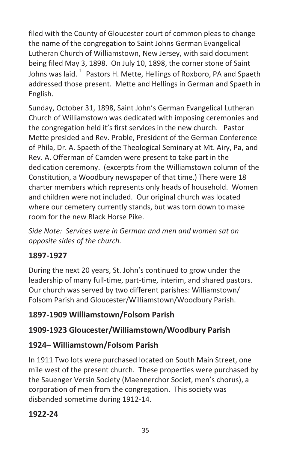filed with the County of Gloucester court of common pleas to change the name of the congregation to Saint Johns German Evangelical Lutheran Church of Williamstown, New Jersey, with said document being filed May 3, 1898. On July 10, 1898, the corner stone of Saint Johns was laid.  $^1$  Pastors H. Mette, Hellings of Roxboro, PA and Spaeth addressed those present. Mette and Hellings in German and Spaeth in English.

Sunday, October 31, 1898, Saint John's German Evangelical Lutheran Church of Williamstown was dedicated with imposing ceremonies and the congregation held it's first services in the new church. Pastor Mette presided and Rev. Proble, President of the German Conference of Phila, Dr. A. Spaeth of the Theological Seminary at Mt. Airy, Pa, and Rev. A. Offerman of Camden were present to take part in the dedication ceremony. (excerpts from the Williamstown column of the Constitution, a Woodbury newspaper of that time.) There were 18 charter members which represents only heads of household. Women and children were not included. Our original church was located where our cemetery currently stands, but was torn down to make room for the new Black Horse Pike.

*Side Note: Services were in German and men and women sat on opposite sides of the church.*

# **1897-1927**

During the next 20 years, St. John's continued to grow under the leadership of many full-time, part-time, interim, and shared pastors. Our church was served by two different parishes: Williamstown/ Folsom Parish and Gloucester/Williamstown/Woodbury Parish.

# **1897-1909 Williamstown/Folsom Parish**

# **1909-1923 Gloucester/Williamstown/Woodbury Parish**

# **1924– Williamstown/Folsom Parish**

In 1911 Two lots were purchased located on South Main Street, one mile west of the present church. These properties were purchased by the Sauenger Versin Society (Maennerchor Societ, men's chorus), a corporation of men from the congregation. This society was disbanded sometime during 1912-14.

# **1922-24**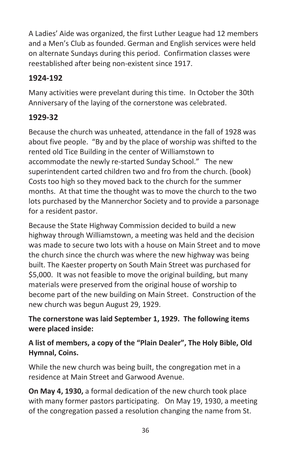A Ladies' Aide was organized, the first Luther League had 12 members and a Men's Club as founded. German and English services were held on alternate Sundays during this period. Confirmation classes were reestablished after being non-existent since 1917.

# **1924-192**

Many activities were prevelant during this time. In October the 30th Anniversary of the laying of the cornerstone was celebrated.

# **1929-32**

Because the church was unheated, attendance in the fall of 1928 was about five people. "By and by the place of worship was shifted to the rented old Tice Building in the center of Williamstown to accommodate the newly re-started Sunday School." The new superintendent carted children two and fro from the church. (book) Costs too high so they moved back to the church for the summer months. At that time the thought was to move the church to the two lots purchased by the Mannerchor Society and to provide a parsonage for a resident pastor.

Because the State Highway Commission decided to build a new highway through Williamstown, a meeting was held and the decision was made to secure two lots with a house on Main Street and to move the church since the church was where the new highway was being built. The Kaester property on South Main Street was purchased for \$5,000. It was not feasible to move the original building, but many materials were preserved from the original house of worship to become part of the new building on Main Street. Construction of the new church was begun August 29, 1929.

## **The cornerstone was laid September 1, 1929. The following items were placed inside:**

## **A list of members, a copy of the "Plain Dealer", The Holy Bible, Old Hymnal, Coins.**

While the new church was being built, the congregation met in a residence at Main Street and Garwood Avenue.

**On May 4, 1930,** a formal dedication of the new church took place with many former pastors participating. On May 19, 1930, a meeting of the congregation passed a resolution changing the name from St.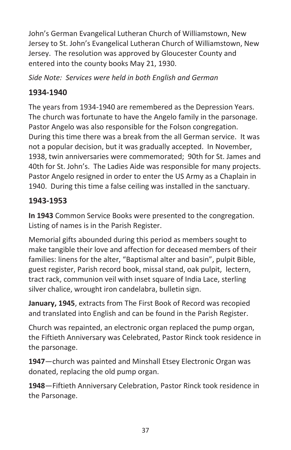John's German Evangelical Lutheran Church of Williamstown, New Jersey to St. John's Evangelical Lutheran Church of Williamstown, New Jersey. The resolution was approved by Gloucester County and entered into the county books May 21, 1930.

*Side Note: Services were held in both English and German*

# **1934-1940**

The years from 1934-1940 are remembered as the Depression Years. The church was fortunate to have the Angelo family in the parsonage. Pastor Angelo was also responsible for the Folson congregation. During this time there was a break from the all German service. It was not a popular decision, but it was gradually accepted. In November, 1938, twin anniversaries were commemorated; 90th for St. James and 40th for St. John's. The Ladies Aide was responsible for many projects. Pastor Angelo resigned in order to enter the US Army as a Chaplain in 1940. During this time a false ceiling was installed in the sanctuary.

# **1943-1953**

**In 1943** Common Service Books were presented to the congregation. Listing of names is in the Parish Register.

Memorial gifts abounded during this period as members sought to make tangible their love and affection for deceased members of their families: linens for the alter, "Baptismal alter and basin", pulpit Bible, guest register, Parish record book, missal stand, oak pulpit, lectern, tract rack, communion veil with inset square of India Lace, sterling silver chalice, wrought iron candelabra, bulletin sign.

**January, 1945**, extracts from The First Book of Record was recopied and translated into English and can be found in the Parish Register.

Church was repainted, an electronic organ replaced the pump organ, the Fiftieth Anniversary was Celebrated, Pastor Rinck took residence in the parsonage.

**1947**—church was painted and Minshall Etsey Electronic Organ was donated, replacing the old pump organ.

**1948**—Fiftieth Anniversary Celebration, Pastor Rinck took residence in the Parsonage.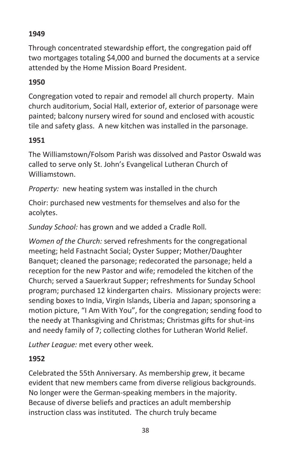# **1949**

Through concentrated stewardship effort, the congregation paid off two mortgages totaling \$4,000 and burned the documents at a service attended by the Home Mission Board President.

## **1950**

Congregation voted to repair and remodel all church property. Main church auditorium, Social Hall, exterior of, exterior of parsonage were painted; balcony nursery wired for sound and enclosed with acoustic tile and safety glass. A new kitchen was installed in the parsonage.

#### **1951**

The Williamstown/Folsom Parish was dissolved and Pastor Oswald was called to serve only St. John's Evangelical Lutheran Church of Williamstown.

*Property:* new heating system was installed in the church

Choir: purchased new vestments for themselves and also for the acolytes.

*Sunday School:* has grown and we added a Cradle Roll.

*Women of the Church:* served refreshments for the congregational meeting; held Fastnacht Social; Oyster Supper; Mother/Daughter Banquet; cleaned the parsonage; redecorated the parsonage; held a reception for the new Pastor and wife; remodeled the kitchen of the Church; served a Sauerkraut Supper; refreshments for Sunday School program; purchased 12 kindergarten chairs. Missionary projects were: sending boxes to India, Virgin Islands, Liberia and Japan; sponsoring a motion picture, "I Am With You", for the congregation; sending food to the needy at Thanksgiving and Christmas; Christmas gifts for shut-ins and needy family of 7; collecting clothes for Lutheran World Relief.

*Luther League:* met every other week.

#### **1952**

Celebrated the 55th Anniversary. As membership grew, it became evident that new members came from diverse religious backgrounds. No longer were the German-speaking members in the majority. Because of diverse beliefs and practices an adult membership instruction class was instituted. The church truly became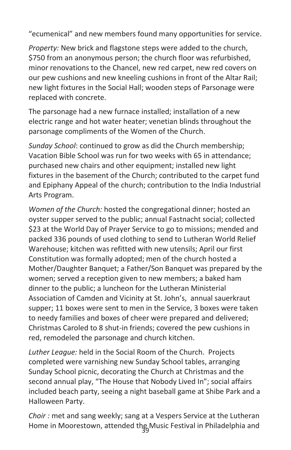"ecumenical" and new members found many opportunities for service.

*Property:* New brick and flagstone steps were added to the church, \$750 from an anonymous person; the church floor was refurbished, minor renovations to the Chancel, new red carpet, new red covers on our pew cushions and new kneeling cushions in front of the Altar Rail; new light fixtures in the Social Hall; wooden steps of Parsonage were replaced with concrete.

The parsonage had a new furnace installed; installation of a new electric range and hot water heater; venetian blinds throughout the parsonage compliments of the Women of the Church.

*Sunday School*: continued to grow as did the Church membership; Vacation Bible School was run for two weeks with 65 in attendance; purchased new chairs and other equipment; installed new light fixtures in the basement of the Church; contributed to the carpet fund and Epiphany Appeal of the church; contribution to the India Industrial Arts Program.

*Women of the Church:* hosted the congregational dinner; hosted an oyster supper served to the public; annual Fastnacht social; collected \$23 at the World Day of Prayer Service to go to missions; mended and packed 336 pounds of used clothing to send to Lutheran World Relief Warehouse; kitchen was refitted with new utensils; April our first Constitution was formally adopted; men of the church hosted a Mother/Daughter Banquet; a Father/Son Banquet was prepared by the women; served a reception given to new members; a baked ham dinner to the public; a luncheon for the Lutheran Ministerial Association of Camden and Vicinity at St. John's, annual sauerkraut supper; 11 boxes were sent to men in the Service, 3 boxes were taken to needy families and boxes of cheer were prepared and delivered; Christmas Caroled to 8 shut-in friends; covered the pew cushions in red, remodeled the parsonage and church kitchen.

*Luther League:* held in the Social Room of the Church. Projects completed were varnishing new Sunday School tables, arranging Sunday School picnic, decorating the Church at Christmas and the second annual play, "The House that Nobody Lived In"; social affairs included beach party, seeing a night baseball game at Shibe Park and a Halloween Party.

Home in Moorestown, attended the Music Festival in Philadelphia and *Choir :* met and sang weekly; sang at a Vespers Service at the Lutheran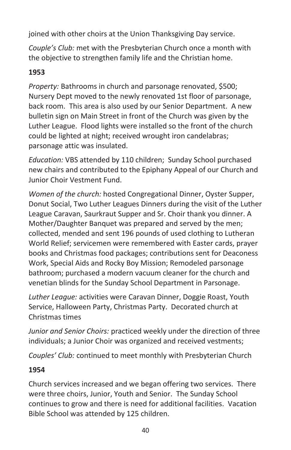joined with other choirs at the Union Thanksgiving Day service.

*Couple's Club:* met with the Presbyterian Church once a month with the objective to strengthen family life and the Christian home.

## **1953**

*Property:* Bathrooms in church and parsonage renovated, \$500; Nursery Dept moved to the newly renovated 1st floor of parsonage, back room. This area is also used by our Senior Department. A new bulletin sign on Main Street in front of the Church was given by the Luther League. Flood lights were installed so the front of the church could be lighted at night; received wrought iron candelabras; parsonage attic was insulated.

*Education:* VBS attended by 110 children; Sunday School purchased new chairs and contributed to the Epiphany Appeal of our Church and Junior Choir Vestment Fund.

*Women of the church:* hosted Congregational Dinner, Oyster Supper, Donut Social, Two Luther Leagues Dinners during the visit of the Luther League Caravan, Saurkraut Supper and Sr. Choir thank you dinner. A Mother/Daughter Banquet was prepared and served by the men; collected, mended and sent 196 pounds of used clothing to Lutheran World Relief; servicemen were remembered with Easter cards, prayer books and Christmas food packages; contributions sent for Deaconess Work, Special Aids and Rocky Boy Mission; Remodeled parsonage bathroom; purchased a modern vacuum cleaner for the church and venetian blinds for the Sunday School Department in Parsonage.

*Luther League:* activities were Caravan Dinner, Doggie Roast, Youth Service, Halloween Party, Christmas Party. Decorated church at Christmas times

*Junior and Senior Choirs:* practiced weekly under the direction of three individuals; a Junior Choir was organized and received vestments;

*Couples' Club:* continued to meet monthly with Presbyterian Church

## **1954**

Church services increased and we began offering two services. There were three choirs, Junior, Youth and Senior. The Sunday School continues to grow and there is need for additional facilities. Vacation Bible School was attended by 125 children.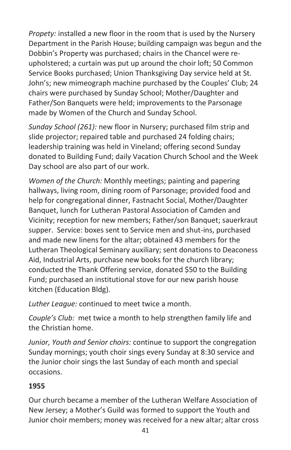*Propety:* installed a new floor in the room that is used by the Nursery Department in the Parish House; building campaign was begun and the Dobbin's Property was purchased; chairs in the Chancel were reupholstered; a curtain was put up around the choir loft; 50 Common Service Books purchased; Union Thanksgiving Day service held at St. John's; new mimeograph machine purchased by the Couples' Club; 24 chairs were purchased by Sunday School; Mother/Daughter and Father/Son Banquets were held; improvements to the Parsonage made by Women of the Church and Sunday School.

*Sunday School (261):* new floor in Nursery; purchased film strip and slide projector; repaired table and purchased 24 folding chairs; leadership training was held in Vineland; offering second Sunday donated to Building Fund; daily Vacation Church School and the Week Day school are also part of our work.

*Women of the Church:* Monthly meetings; painting and papering hallways, living room, dining room of Parsonage; provided food and help for congregational dinner, Fastnacht Social, Mother/Daughter Banquet, lunch for Lutheran Pastoral Association of Camden and Vicinity; reception for new members; Father/son Banquet; sauerkraut supper. Service: boxes sent to Service men and shut-ins, purchased and made new linens for the altar; obtained 43 members for the Lutheran Theological Seminary auxiliary; sent donations to Deaconess Aid, Industrial Arts, purchase new books for the church library; conducted the Thank Offering service, donated \$50 to the Building Fund; purchased an institutional stove for our new parish house kitchen (Education Bldg).

*Luther League:* continued to meet twice a month.

*Couple's Club:* met twice a month to help strengthen family life and the Christian home.

*Junior, Youth and Senior choirs:* continue to support the congregation Sunday mornings; youth choir sings every Sunday at 8:30 service and the Junior choir sings the last Sunday of each month and special occasions.

# **1955**

Our church became a member of the Lutheran Welfare Association of New Jersey; a Mother's Guild was formed to support the Youth and Junior choir members; money was received for a new altar; altar cross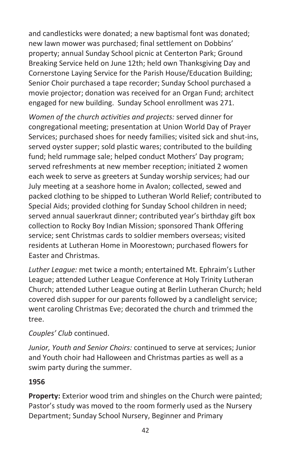and candlesticks were donated; a new baptismal font was donated; new lawn mower was purchased; final settlement on Dobbins' property; annual Sunday School picnic at Centerton Park; Ground Breaking Service held on June 12th; held own Thanksgiving Day and Cornerstone Laying Service for the Parish House/Education Building; Senior Choir purchased a tape recorder; Sunday School purchased a movie projector; donation was received for an Organ Fund; architect engaged for new building. Sunday School enrollment was 271.

*Women of the church activities and projects:* served dinner for congregational meeting; presentation at Union World Day of Prayer Services; purchased shoes for needy families; visited sick and shut-ins, served oyster supper; sold plastic wares; contributed to the building fund; held rummage sale; helped conduct Mothers' Day program; served refreshments at new member reception; initiated 2 women each week to serve as greeters at Sunday worship services; had our July meeting at a seashore home in Avalon; collected, sewed and packed clothing to be shipped to Lutheran World Relief; contributed to Special Aids; provided clothing for Sunday School children in need; served annual sauerkraut dinner; contributed year's birthday gift box collection to Rocky Boy Indian Mission; sponsored Thank Offering service; sent Christmas cards to soldier members overseas; visited residents at Lutheran Home in Moorestown; purchased flowers for Easter and Christmas.

*Luther League:* met twice a month; entertained Mt. Ephraim's Luther League; attended Luther League Conference at Holy Trinity Lutheran Church; attended Luther League outing at Berlin Lutheran Church; held covered dish supper for our parents followed by a candlelight service; went caroling Christmas Eve; decorated the church and trimmed the tree.

#### *Couples' Club* continued.

*Junior, Youth and Senior Choirs:* continued to serve at services; Junior and Youth choir had Halloween and Christmas parties as well as a swim party during the summer.

#### **1956**

**Property:** Exterior wood trim and shingles on the Church were painted; Pastor's study was moved to the room formerly used as the Nursery Department; Sunday School Nursery, Beginner and Primary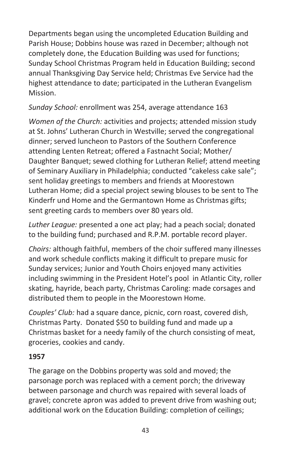Departments began using the uncompleted Education Building and Parish House; Dobbins house was razed in December; although not completely done, the Education Building was used for functions; Sunday School Christmas Program held in Education Building; second annual Thanksgiving Day Service held; Christmas Eve Service had the highest attendance to date; participated in the Lutheran Evangelism Mission.

#### *Sunday School:* enrollment was 254, average attendance 163

*Women of the Church:* activities and projects; attended mission study at St. Johns' Lutheran Church in Westville; served the congregational dinner; served luncheon to Pastors of the Southern Conference attending Lenten Retreat; offered a Fastnacht Social; Mother/ Daughter Banquet; sewed clothing for Lutheran Relief; attend meeting of Seminary Auxiliary in Philadelphia; conducted "cakeless cake sale"; sent holiday greetings to members and friends at Moorestown Lutheran Home; did a special project sewing blouses to be sent to The Kinderfr und Home and the Germantown Home as Christmas gifts; sent greeting cards to members over 80 years old.

*Luther League:* presented a one act play; had a peach social; donated to the building fund; purchased and R.P.M. portable record player.

*Choirs:* although faithful, members of the choir suffered many illnesses and work schedule conflicts making it difficult to prepare music for Sunday services; Junior and Youth Choirs enjoyed many activities including swimming in the President Hotel's pool in Atlantic City, roller skating, hayride, beach party, Christmas Caroling: made corsages and distributed them to people in the Moorestown Home.

*Couples' Club:* had a square dance, picnic, corn roast, covered dish, Christmas Party. Donated \$50 to building fund and made up a Christmas basket for a needy family of the church consisting of meat, groceries, cookies and candy.

#### **1957**

The garage on the Dobbins property was sold and moved; the parsonage porch was replaced with a cement porch; the driveway between parsonage and church was repaired with several loads of gravel; concrete apron was added to prevent drive from washing out; additional work on the Education Building: completion of ceilings;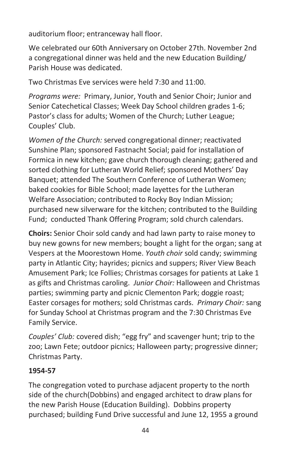auditorium floor; entranceway hall floor.

We celebrated our 60th Anniversary on October 27th. November 2nd a congregational dinner was held and the new Education Building/ Parish House was dedicated.

Two Christmas Eve services were held 7:30 and 11:00.

*Programs were:* Primary, Junior, Youth and Senior Choir; Junior and Senior Catechetical Classes; Week Day School children grades 1-6; Pastor's class for adults; Women of the Church; Luther League; Couples' Club.

*Women of the Church:* served congregational dinner; reactivated Sunshine Plan; sponsored Fastnacht Social; paid for installation of Formica in new kitchen; gave church thorough cleaning; gathered and sorted clothing for Lutheran World Relief; sponsored Mothers' Day Banquet; attended The Southern Conference of Lutheran Women; baked cookies for Bible School; made layettes for the Lutheran Welfare Association; contributed to Rocky Boy Indian Mission; purchased new silverware for the kitchen; contributed to the Building Fund; conducted Thank Offering Program; sold church calendars.

**Choirs:** Senior Choir sold candy and had lawn party to raise money to buy new gowns for new members; bought a light for the organ; sang at Vespers at the Moorestown Home. *Youth choir* sold candy; swimming party in Atlantic City; hayrides; picnics and suppers; River View Beach Amusement Park; Ice Follies; Christmas corsages for patients at Lake 1 as gifts and Christmas caroling. *Junior Choir:* Halloween and Christmas parties; swimming party and picnic Clementon Park; doggie roast; Easter corsages for mothers; sold Christmas cards. *Primary Choir:* sang for Sunday School at Christmas program and the 7:30 Christmas Eve Family Service.

*Couples' Club:* covered dish; "egg fry" and scavenger hunt; trip to the zoo; Lawn Fete; outdoor picnics; Halloween party; progressive dinner; Christmas Party.

#### **1954-57**

The congregation voted to purchase adjacent property to the north side of the church(Dobbins) and engaged architect to draw plans for the new Parish House (Education Building). Dobbins property purchased; building Fund Drive successful and June 12, 1955 a ground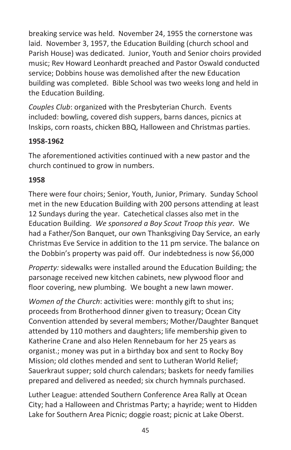breaking service was held. November 24, 1955 the cornerstone was laid. November 3, 1957, the Education Building (church school and Parish House) was dedicated. Junior, Youth and Senior choirs provided music; Rev Howard Leonhardt preached and Pastor Oswald conducted service; Dobbins house was demolished after the new Education building was completed. Bible School was two weeks long and held in the Education Building.

*Couples Club*: organized with the Presbyterian Church. Events included: bowling, covered dish suppers, barns dances, picnics at Inskips, corn roasts, chicken BBQ, Halloween and Christmas parties.

#### **1958-1962**

The aforementioned activities continued with a new pastor and the church continued to grow in numbers.

#### **1958**

There were four choirs; Senior, Youth, Junior, Primary. Sunday School met in the new Education Building with 200 persons attending at least 12 Sundays during the year. Catechetical classes also met in the Education Building. *We sponsored a Boy Scout Troop this year.* We had a Father/Son Banquet, our own Thanksgiving Day Service, an early Christmas Eve Service in addition to the 11 pm service. The balance on the Dobbin's property was paid off. Our indebtedness is now \$6,000

*Property:* sidewalks were installed around the Education Building; the parsonage received new kitchen cabinets, new plywood floor and floor covering, new plumbing. We bought a new lawn mower.

*Women of the Church*: activities were: monthly gift to shut ins; proceeds from Brotherhood dinner given to treasury; Ocean City Convention attended by several members; Mother/Daughter Banquet attended by 110 mothers and daughters; life membership given to Katherine Crane and also Helen Rennebaum for her 25 years as organist.; money was put in a birthday box and sent to Rocky Boy Mission; old clothes mended and sent to Lutheran World Relief; Sauerkraut supper; sold church calendars; baskets for needy families prepared and delivered as needed; six church hymnals purchased.

Luther League: attended Southern Conference Area Rally at Ocean City; had a Halloween and Christmas Party; a hayride; went to Hidden Lake for Southern Area Picnic; doggie roast; picnic at Lake Oberst.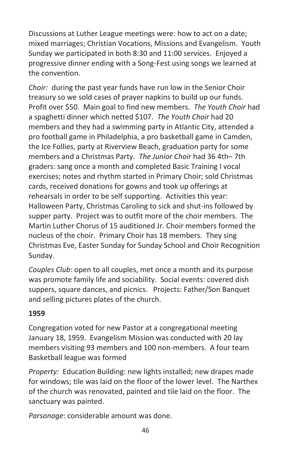Discussions at Luther League meetings were: how to act on a date; mixed marriages; Christian Vocations, Missions and Evangelism. Youth Sunday we participated in both 8:30 and 11:00 services. Enjoyed a progressive dinner ending with a Song-Fest using songs we learned at the convention.

*Choir:* during the past year funds have run low in the Senior Choir treasury so we sold cases of prayer napkins to build up our funds. Profit over \$50. Main goal to find new members. *The Youth Choir* had a spaghetti dinner which netted \$107. *The Youth Choir* had 20 members and they had a swimming party in Atlantic City, attended a pro football game in Philadelphia, a pro basketball game in Camden, the Ice Follies, party at Riverview Beach, graduation party for some members and a Christmas Party. *The Junior Choir* had 36 4th– 7th graders: sang once a month and completed Basic Training I vocal exercises; notes and rhythm started in Primary Choir; sold Christmas cards, received donations for gowns and took up offerings at rehearsals in order to be self supporting. Activities this year: Halloween Party, Christmas Caroling to sick and shut-ins followed by supper party. Project was to outfit more of the choir members. The Martin Luther Chorus of 15 auditioned Jr. Choir members formed the nucleus of the choir. Primary Choir has 18 members. They sing Christmas Eve, Easter Sunday for Sunday School and Choir Recognition Sunday.

*Couples Club*: open to all couples, met once a month and its purpose was promote family life and sociability. Social events: covered dish suppers, square dances, and picnics. Projects: Father/Son Banquet and selling pictures plates of the church.

#### **1959**

Congregation voted for new Pastor at a congregational meeting January 18, 1959. Evangelism Mission was conducted with 20 lay members visiting 93 members and 100 non-members. A four team Basketball league was formed

*Property:* Education Building: new lights installed; new drapes made for windows; tile was laid on the floor of the lower level. The Narthex of the church was renovated, painted and tile laid on the floor. The sanctuary was painted.

*Parsonage*: considerable amount was done.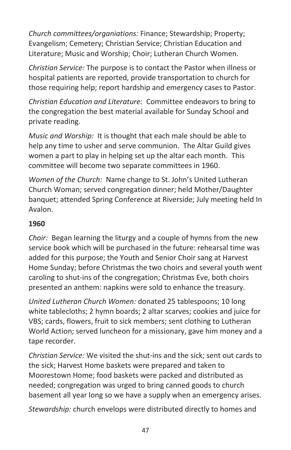*Church committees/organiations:* Finance; Stewardship; Property; Evangelism; Cemetery; Christian Service; Christian Education and Literature; Music and Worship; Choir; Lutheran Church Women.

*Christian Service:* The purpose is to contact the Pastor when illness or hospital patients are reported, provide transportation to church for those requiring help; report hardship and emergency cases to Pastor.

*Christian Education and Literature:* Committee endeavors to bring to the congregation the best material available for Sunday School and private reading.

*Music and Worship:* It is thought that each male should be able to help any time to usher and serve communion. The Altar Guild gives women a part to play in helping set up the altar each month. This committee will become two separate committees in 1960.

*Women of the Church:* Name change to St. John's United Lutheran Church Woman; served congregation dinner; held Mother/Daughter banquet; attended Spring Conference at Riverside; July meeting held In Avalon.

## **1960**

*Choir:* Began learning the liturgy and a couple of hymns from the new service book which will be purchased in the future: rehearsal time was added for this purpose; the Youth and Senior Choir sang at Harvest Home Sunday; before Christmas the two choirs and several youth went caroling to shut-ins of the congregation; Christmas Eve, both choirs presented an anthem: napkins were sold to enhance the treasury.

*United Lutheran Church Women:* donated 25 tablespoons; 10 long white tablecloths; 2 hymn boards; 2 altar scarves; cookies and juice for VBS; cards, flowers, fruit to sick members; sent clothing to Lutheran World Action; served luncheon for a missionary, gave him money and a tape recorder.

*Christian Service:* We visited the shut-ins and the sick; sent out cards to the sick; Harvest Home baskets were prepared and taken to Moorestown Home; food baskets were packed and distributed as needed; congregation was urged to bring canned goods to church basement all year long so we have a supply when an emergency arises.

*Stewardship:* church envelops were distributed directly to homes and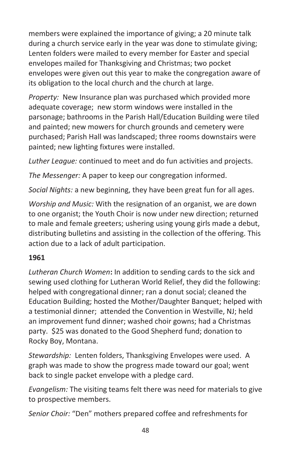members were explained the importance of giving; a 20 minute talk during a church service early in the year was done to stimulate giving; Lenten folders were mailed to every member for Easter and special envelopes mailed for Thanksgiving and Christmas; two pocket envelopes were given out this year to make the congregation aware of its obligation to the local church and the church at large.

*Property:* New Insurance plan was purchased which provided more adequate coverage; new storm windows were installed in the parsonage; bathrooms in the Parish Hall/Education Building were tiled and painted; new mowers for church grounds and cemetery were purchased; Parish Hall was landscaped; three rooms downstairs were painted; new lighting fixtures were installed.

*Luther League:* continued to meet and do fun activities and projects.

*The Messenger:* A paper to keep our congregation informed.

*Social Nights:* a new beginning, they have been great fun for all ages.

*Worship and Music:* With the resignation of an organist, we are down to one organist; the Youth Choir is now under new direction; returned to male and female greeters; ushering using young girls made a debut, distributing bulletins and assisting in the collection of the offering. This action due to a lack of adult participation.

## **1961**

*Lutheran Church Women***:** In addition to sending cards to the sick and sewing used clothing for Lutheran World Relief, they did the following: helped with congregational dinner; ran a donut social; cleaned the Education Building; hosted the Mother/Daughter Banquet; helped with a testimonial dinner; attended the Convention in Westville, NJ; held an improvement fund dinner; washed choir gowns; had a Christmas party. \$25 was donated to the Good Shepherd fund; donation to Rocky Boy, Montana.

*Stewardship:* Lenten folders, Thanksgiving Envelopes were used. A graph was made to show the progress made toward our goal; went back to single packet envelope with a pledge card.

*Evangelism:* The visiting teams felt there was need for materials to give to prospective members.

*Senior Choir:* "Den" mothers prepared coffee and refreshments for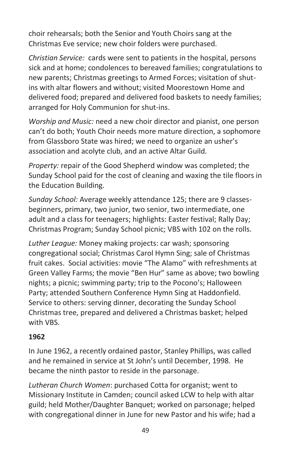choir rehearsals; both the Senior and Youth Choirs sang at the Christmas Eve service; new choir folders were purchased.

*Christian Service:* cards were sent to patients in the hospital, persons sick and at home; condolences to bereaved families; congratulations to new parents; Christmas greetings to Armed Forces; visitation of shutins with altar flowers and without; visited Moorestown Home and delivered food; prepared and delivered food baskets to needy families; arranged for Holy Communion for shut-ins.

*Worship and Music:* need a new choir director and pianist, one person can't do both; Youth Choir needs more mature direction, a sophomore from Glassboro State was hired; we need to organize an usher's association and acolyte club, and an active Altar Guild.

*Property:* repair of the Good Shepherd window was completed; the Sunday School paid for the cost of cleaning and waxing the tile floors in the Education Building.

*Sunday School:* Average weekly attendance 125; there are 9 classesbeginners, primary, two junior, two senior, two intermediate, one adult and a class for teenagers; highlights: Easter festival; Rally Day; Christmas Program; Sunday School picnic; VBS with 102 on the rolls.

*Luther League:* Money making projects: car wash; sponsoring congregational social; Christmas Carol Hymn Sing; sale of Christmas fruit cakes. Social activities: movie "The Alamo" with refreshments at Green Valley Farms; the movie "Ben Hur" same as above; two bowling nights; a picnic; swimming party; trip to the Pocono's; Halloween Party; attended Southern Conference Hymn Sing at Haddonfield. Service to others: serving dinner, decorating the Sunday School Christmas tree, prepared and delivered a Christmas basket; helped with VBS.

#### **1962**

In June 1962, a recently ordained pastor, Stanley Phillips, was called and he remained in service at St John's until December, 1998. He became the ninth pastor to reside in the parsonage.

*Lutheran Church Women*: purchased Cotta for organist; went to Missionary Institute in Camden; council asked LCW to help with altar guild; held Mother/Daughter Banquet; worked on parsonage; helped with congregational dinner in June for new Pastor and his wife; had a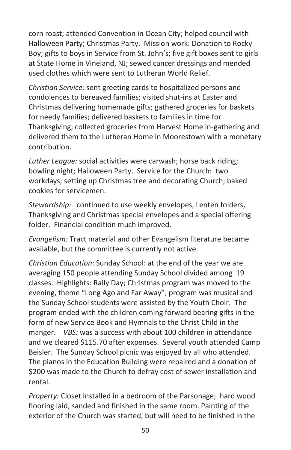corn roast; attended Convention in Ocean City; helped council with Halloween Party; Christmas Party. Mission work: Donation to Rocky Boy; gifts to boys in Service from St. John's; five gift boxes sent to girls at State Home in Vineland, NJ; sewed cancer dressings and mended used clothes which were sent to Lutheran World Relief.

*Christian Service:* sent greeting cards to hospitalized persons and condolences to bereaved families; visited shut-ins at Easter and Christmas delivering homemade gifts; gathered groceries for baskets for needy families; delivered baskets to families in time for Thanksgiving; collected groceries from Harvest Home in-gathering and delivered them to the Lutheran Home in Moorestown with a monetary contribution.

*Luther League:* social activities were carwash; horse back riding; bowling night; Halloween Party. Service for the Church: two workdays; setting up Christmas tree and decorating Church; baked cookies for servicemen.

*Stewardship:* continued to use weekly envelopes, Lenten folders, Thanksgiving and Christmas special envelopes and a special offering folder. Financial condition much improved.

*Evangelism:* Tract material and other Evangelism literature became available, but the committee is currently not active.

*Christian Education*: Sunday School: at the end of the year we are averaging 150 people attending Sunday School divided among 19 classes. Highlights: Rally Day; Christmas program was moved to the evening, theme "Long Ago and Far Away"; program was musical and the Sunday School students were assisted by the Youth Choir. The program ended with the children coming forward bearing gifts in the form of new Service Book and Hymnals to the Christ Child in the manger. *VBS:* was a success with about 100 children in attendance and we cleared \$115.70 after expenses. Several youth attended Camp Beisler. The Sunday School picnic was enjoyed by all who attended. The pianos in the Education Building were repaired and a donation of \$200 was made to the Church to defray cost of sewer installation and rental.

*Property:* Closet installed in a bedroom of the Parsonage; hard wood flooring laid, sanded and finished in the same room. Painting of the exterior of the Church was started, but will need to be finished in the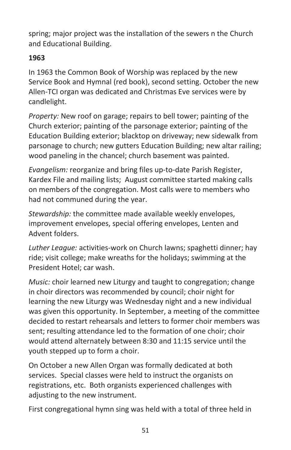spring; major project was the installation of the sewers n the Church and Educational Building.

## **1963**

In 1963 the Common Book of Worship was replaced by the new Service Book and Hymnal (red book), second setting. October the new Allen-TCI organ was dedicated and Christmas Eve services were by candlelight.

*Property:* New roof on garage; repairs to bell tower; painting of the Church exterior; painting of the parsonage exterior; painting of the Education Building exterior; blacktop on driveway; new sidewalk from parsonage to church; new gutters Education Building; new altar railing; wood paneling in the chancel; church basement was painted.

*Evangelism:* reorganize and bring files up-to-date Parish Register, Kardex File and mailing lists; August committee started making calls on members of the congregation. Most calls were to members who had not communed during the year.

*Stewardship:* the committee made available weekly envelopes, improvement envelopes, special offering envelopes, Lenten and Advent folders.

*Luther League:* activities-work on Church lawns; spaghetti dinner; hay ride; visit college; make wreaths for the holidays; swimming at the President Hotel; car wash.

*Music:* choir learned new Liturgy and taught to congregation; change in choir directors was recommended by council; choir night for learning the new Liturgy was Wednesday night and a new individual was given this opportunity. In September, a meeting of the committee decided to restart rehearsals and letters to former choir members was sent; resulting attendance led to the formation of one choir; choir would attend alternately between 8:30 and 11:15 service until the youth stepped up to form a choir.

On October a new Allen Organ was formally dedicated at both services. Special classes were held to instruct the organists on registrations, etc. Both organists experienced challenges with adjusting to the new instrument.

First congregational hymn sing was held with a total of three held in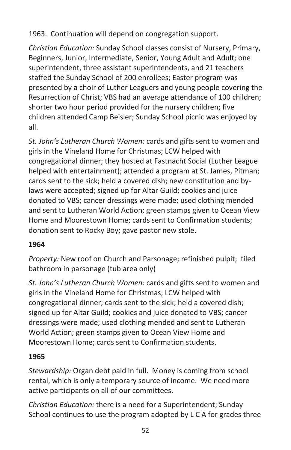1963. Continuation will depend on congregation support.

*Christian Education:* Sunday School classes consist of Nursery, Primary, Beginners, Junior, Intermediate, Senior, Young Adult and Adult; one superintendent, three assistant superintendents, and 21 teachers staffed the Sunday School of 200 enrollees; Easter program was presented by a choir of Luther Leaguers and young people covering the Resurrection of Christ; VBS had an average attendance of 100 children; shorter two hour period provided for the nursery children; five children attended Camp Beisler; Sunday School picnic was enjoyed by all.

*St. John's Lutheran Church Women:* cards and gifts sent to women and girls in the Vineland Home for Christmas; LCW helped with congregational dinner; they hosted at Fastnacht Social (Luther League helped with entertainment); attended a program at St. James, Pitman; cards sent to the sick; held a covered dish; new constitution and bylaws were accepted; signed up for Altar Guild; cookies and juice donated to VBS; cancer dressings were made; used clothing mended and sent to Lutheran World Action; green stamps given to Ocean View Home and Moorestown Home; cards sent to Confirmation students; donation sent to Rocky Boy; gave pastor new stole.

# **1964**

*Property:* New roof on Church and Parsonage; refinished pulpit; tiled bathroom in parsonage (tub area only)

*St. John's Lutheran Church Women:* cards and gifts sent to women and girls in the Vineland Home for Christmas; LCW helped with congregational dinner; cards sent to the sick; held a covered dish; signed up for Altar Guild; cookies and juice donated to VBS; cancer dressings were made; used clothing mended and sent to Lutheran World Action; green stamps given to Ocean View Home and Moorestown Home; cards sent to Confirmation students.

# **1965**

*Stewardship:* Organ debt paid in full. Money is coming from school rental, which is only a temporary source of income. We need more active participants on all of our committees.

*Christian Education:* there is a need for a Superintendent; Sunday School continues to use the program adopted by L C A for grades three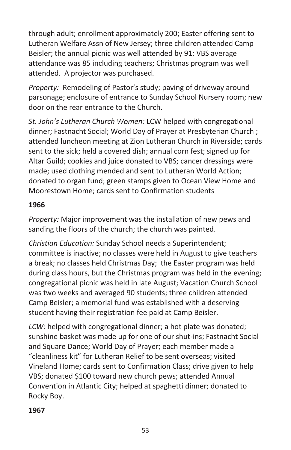through adult; enrollment approximately 200; Easter offering sent to Lutheran Welfare Assn of New Jersey; three children attended Camp Beisler; the annual picnic was well attended by 91; VBS average attendance was 85 including teachers; Christmas program was well attended. A projector was purchased.

*Property:* Remodeling of Pastor's study; paving of driveway around parsonage; enclosure of entrance to Sunday School Nursery room; new door on the rear entrance to the Church.

*St. John's Lutheran Church Women:* LCW helped with congregational dinner; Fastnacht Social; World Day of Prayer at Presbyterian Church ; attended luncheon meeting at Zion Lutheran Church in Riverside; cards sent to the sick; held a covered dish; annual corn fest; signed up for Altar Guild; cookies and juice donated to VBS; cancer dressings were made; used clothing mended and sent to Lutheran World Action; donated to organ fund; green stamps given to Ocean View Home and Moorestown Home; cards sent to Confirmation students

#### **1966**

*Property:* Major improvement was the installation of new pews and sanding the floors of the church; the church was painted.

*Christian Education:* Sunday School needs a Superintendent; committee is inactive; no classes were held in August to give teachers a break; no classes held Christmas Day; the Easter program was held during class hours, but the Christmas program was held in the evening; congregational picnic was held in late August; Vacation Church School was two weeks and averaged 90 students; three children attended Camp Beisler; a memorial fund was established with a deserving student having their registration fee paid at Camp Beisler.

*LCW:* helped with congregational dinner; a hot plate was donated; sunshine basket was made up for one of our shut-ins; Fastnacht Social and Square Dance; World Day of Prayer; each member made a "cleanliness kit" for Lutheran Relief to be sent overseas; visited Vineland Home; cards sent to Confirmation Class; drive given to help VBS; donated \$100 toward new church pews; attended Annual Convention in Atlantic City; helped at spaghetti dinner; donated to Rocky Boy.

#### **1967**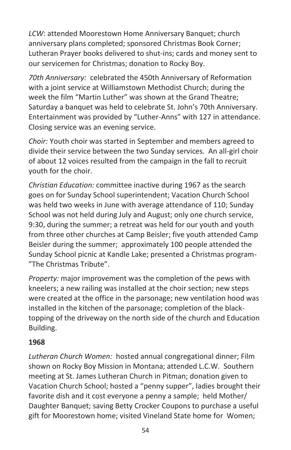*LCW*: attended Moorestown Home Anniversary Banquet; church anniversary plans completed; sponsored Christmas Book Corner; Lutheran Prayer books delivered to shut-ins; cards and money sent to our servicemen for Christmas; donation to Rocky Boy.

*70th Anniversary:* celebrated the 450th Anniversary of Reformation with a joint service at Williamstown Methodist Church; during the week the film "Martin Luther" was shown at the Grand Theatre; Saturday a banquet was held to celebrate St. John's 70th Anniversary. Entertainment was provided by "Luther-Anns" with 127 in attendance. Closing service was an evening service.

*Choir:* Youth choir was started in September and members agreed to divide their service between the two Sunday services. An all-girl choir of about 12 voices resulted from the campaign in the fall to recruit youth for the choir.

*Christian Education:* committee inactive during 1967 as the search goes on for Sunday School superintendent; Vacation Church School was held two weeks in June with average attendance of 110; Sunday School was not held during July and August; only one church service, 9:30, during the summer; a retreat was held for our youth and youth from three other churches at Camp Beisler; five youth attended Camp Beisler during the summer; approximately 100 people attended the Sunday School picnic at Kandle Lake; presented a Christmas program- "The Christmas Tribute".

*Property:* major improvement was the completion of the pews with kneelers; a new railing was installed at the choir section; new steps were created at the office in the parsonage; new ventilation hood was installed in the kitchen of the parsonage; completion of the blacktopping of the driveway on the north side of the church and Education Building.

#### **1968**

*Lutheran Church Women:* hosted annual congregational dinner; Film shown on Rocky Boy Mission in Montana; attended L.C.W. Southern meeting at St. James Lutheran Church in Pitman; donation given to Vacation Church School; hosted a "penny supper", ladies brought their favorite dish and it cost everyone a penny a sample; held Mother/ Daughter Banquet; saving Betty Crocker Coupons to purchase a useful gift for Moorestown home; visited Vineland State home for Women;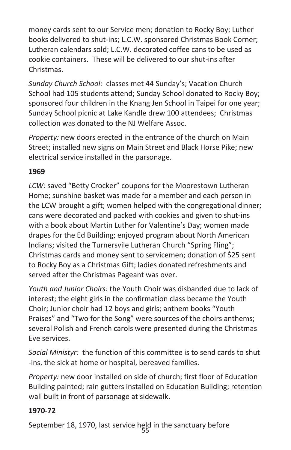money cards sent to our Service men; donation to Rocky Boy; Luther books delivered to shut-ins; L.C.W. sponsored Christmas Book Corner; Lutheran calendars sold; L.C.W. decorated coffee cans to be used as cookie containers. These will be delivered to our shut-ins after Christmas.

*Sunday Church School:* classes met 44 Sunday's; Vacation Church School had 105 students attend; Sunday School donated to Rocky Boy; sponsored four children in the Knang Jen School in Taipei for one year; Sunday School picnic at Lake Kandle drew 100 attendees; Christmas collection was donated to the NJ Welfare Assoc.

*Property:* new doors erected in the entrance of the church on Main Street; installed new signs on Main Street and Black Horse Pike; new electrical service installed in the parsonage.

#### **1969**

*LCW:* saved "Betty Crocker" coupons for the Moorestown Lutheran Home; sunshine basket was made for a member and each person in the LCW brought a gift; women helped with the congregational dinner; cans were decorated and packed with cookies and given to shut-ins with a book about Martin Luther for Valentine's Day; women made drapes for the Ed Building; enjoyed program about North American Indians; visited the Turnersvile Lutheran Church "Spring Fling"; Christmas cards and money sent to servicemen; donation of \$25 sent to Rocky Boy as a Christmas Gift; ladies donated refreshments and served after the Christmas Pageant was over.

*Youth and Junior Choirs:* the Youth Choir was disbanded due to lack of interest; the eight girls in the confirmation class became the Youth Choir; Junior choir had 12 boys and girls; anthem books "Youth Praises" and "Two for the Song" were sources of the choirs anthems; several Polish and French carols were presented during the Christmas Eve services.

*Social Ministyr:* the function of this committee is to send cards to shut -ins, the sick at home or hospital, bereaved families.

*Property:* new door installed on side of church; first floor of Education Building painted; rain gutters installed on Education Building; retention wall built in front of parsonage at sidewalk.

## **1970-72**

September 18, 1970, last service held in the sanctuary before<br>55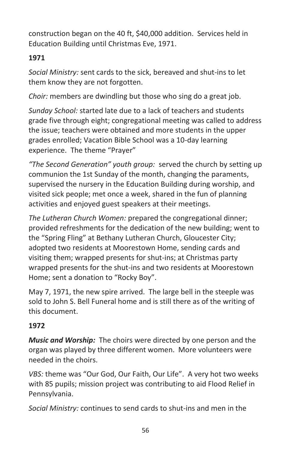construction began on the 40 ft, \$40,000 addition. Services held in Education Building until Christmas Eve, 1971.

## **1971**

*Social Ministry:* sent cards to the sick, bereaved and shut-ins to let them know they are not forgotten.

*Choir:* members are dwindling but those who sing do a great job.

*Sunday School:* started late due to a lack of teachers and students grade five through eight; congregational meeting was called to address the issue; teachers were obtained and more students in the upper grades enrolled; Vacation Bible School was a 10-day learning experience. The theme "Prayer"

*"The Second Generation" youth group:* served the church by setting up communion the 1st Sunday of the month, changing the paraments, supervised the nursery in the Education Building during worship, and visited sick people; met once a week, shared in the fun of planning activities and enjoyed guest speakers at their meetings.

*The Lutheran Church Women:* prepared the congregational dinner; provided refreshments for the dedication of the new building; went to the "Spring Fling" at Bethany Lutheran Church, Gloucester City; adopted two residents at Moorestown Home, sending cards and visiting them; wrapped presents for shut-ins; at Christmas party wrapped presents for the shut-ins and two residents at Moorestown Home; sent a donation to "Rocky Boy".

May 7, 1971, the new spire arrived. The large bell in the steeple was sold to John S. Bell Funeral home and is still there as of the writing of this document.

## **1972**

*Music and Worship:* The choirs were directed by one person and the organ was played by three different women. More volunteers were needed in the choirs.

*VBS:* theme was "Our God, Our Faith, Our Life". A very hot two weeks with 85 pupils; mission project was contributing to aid Flood Relief in Pennsylvania.

*Social Ministry:* continues to send cards to shut-ins and men in the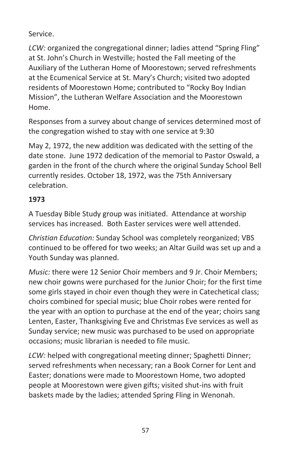#### Service.

*LCW:* organized the congregational dinner; ladies attend "Spring Fling" at St. John's Church in Westville; hosted the Fall meeting of the Auxiliary of the Lutheran Home of Moorestown; served refreshments at the Ecumenical Service at St. Mary's Church; visited two adopted residents of Moorestown Home; contributed to "Rocky Boy Indian Mission", the Lutheran Welfare Association and the Moorestown Home.

Responses from a survey about change of services determined most of the congregation wished to stay with one service at 9:30

May 2, 1972, the new addition was dedicated with the setting of the date stone. June 1972 dedication of the memorial to Pastor Oswald, a garden in the front of the church where the original Sunday School Bell currently resides. October 18, 1972, was the 75th Anniversary celebration.

## **1973**

A Tuesday Bible Study group was initiated. Attendance at worship services has increased. Both Easter services were well attended.

*Christian Education:* Sunday School was completely reorganized; VBS continued to be offered for two weeks; an Altar Guild was set up and a Youth Sunday was planned.

*Music:* there were 12 Senior Choir members and 9 Jr. Choir Members; new choir gowns were purchased for the Junior Choir; for the first time some girls stayed in choir even though they were in Catechetical class; choirs combined for special music; blue Choir robes were rented for the year with an option to purchase at the end of the year; choirs sang Lenten, Easter, Thanksgiving Eve and Christmas Eve services as well as Sunday service; new music was purchased to be used on appropriate occasions; music librarian is needed to file music.

*LCW:* helped with congregational meeting dinner; Spaghetti Dinner; served refreshments when necessary; ran a Book Corner for Lent and Easter; donations were made to Moorestown Home, two adopted people at Moorestown were given gifts; visited shut-ins with fruit baskets made by the ladies; attended Spring Fling in Wenonah.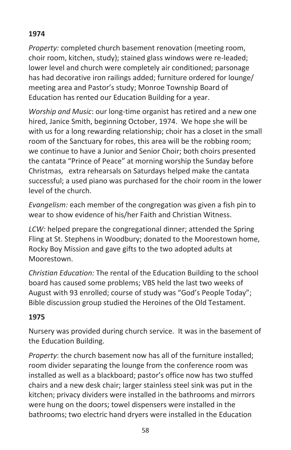# **1974**

*Property:* completed church basement renovation (meeting room, choir room, kitchen, study); stained glass windows were re-leaded; lower level and church were completely air conditioned; parsonage has had decorative iron railings added; furniture ordered for lounge/ meeting area and Pastor's study; Monroe Township Board of Education has rented our Education Building for a year.

*Worship and Music*: our long-time organist has retired and a new one hired, Janice Smith, beginning October, 1974. We hope she will be with us for a long rewarding relationship; choir has a closet in the small room of the Sanctuary for robes, this area will be the robbing room; we continue to have a Junior and Senior Choir; both choirs presented the cantata "Prince of Peace" at morning worship the Sunday before Christmas, extra rehearsals on Saturdays helped make the cantata successful; a used piano was purchased for the choir room in the lower level of the church.

*Evangelism:* each member of the congregation was given a fish pin to wear to show evidence of his/her Faith and Christian Witness.

*LCW:* helped prepare the congregational dinner; attended the Spring Fling at St. Stephens in Woodbury; donated to the Moorestown home, Rocky Boy Mission and gave gifts to the two adopted adults at Moorestown.

*Christian Education:* The rental of the Education Building to the school board has caused some problems; VBS held the last two weeks of August with 93 enrolled; course of study was "God's People Today"; Bible discussion group studied the Heroines of the Old Testament.

#### **1975**

Nursery was provided during church service. It was in the basement of the Education Building.

*Property*: the church basement now has all of the furniture installed; room divider separating the lounge from the conference room was installed as well as a blackboard; pastor's office now has two stuffed chairs and a new desk chair; larger stainless steel sink was put in the kitchen; privacy dividers were installed in the bathrooms and mirrors were hung on the doors; towel dispensers were installed in the bathrooms; two electric hand dryers were installed in the Education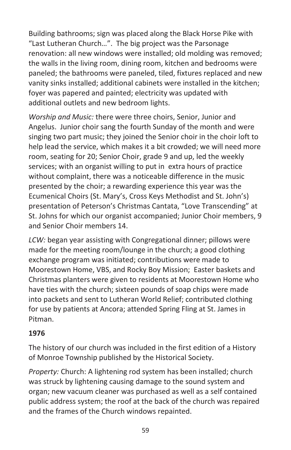Building bathrooms; sign was placed along the Black Horse Pike with "Last Lutheran Church…". The big project was the Parsonage renovation: all new windows were installed; old molding was removed; the walls in the living room, dining room, kitchen and bedrooms were paneled; the bathrooms were paneled, tiled, fixtures replaced and new vanity sinks installed; additional cabinets were installed in the kitchen; foyer was papered and painted; electricity was updated with additional outlets and new bedroom lights.

*Worship and Music:* there were three choirs, Senior, Junior and Angelus. Junior choir sang the fourth Sunday of the month and were singing two part music; they joined the Senior choir in the choir loft to help lead the service, which makes it a bit crowded; we will need more room, seating for 20; Senior Choir, grade 9 and up, led the weekly services; with an organist willing to put in extra hours of practice without complaint, there was a noticeable difference in the music presented by the choir; a rewarding experience this year was the Ecumenical Choirs (St. Mary's, Cross Keys Methodist and St. John's) presentation of Peterson's Christmas Cantata, "Love Transcending" at St. Johns for which our organist accompanied; Junior Choir members, 9 and Senior Choir members 14.

*LCW:* began year assisting with Congregational dinner; pillows were made for the meeting room/lounge in the church; a good clothing exchange program was initiated; contributions were made to Moorestown Home, VBS, and Rocky Boy Mission; Easter baskets and Christmas planters were given to residents at Moorestown Home who have ties with the church; sixteen pounds of soap chips were made into packets and sent to Lutheran World Relief; contributed clothing for use by patients at Ancora; attended Spring Fling at St. James in Pitman.

## **1976**

The history of our church was included in the first edition of a History of Monroe Township published by the Historical Society.

*Property:* Church: A lightening rod system has been installed; church was struck by lightening causing damage to the sound system and organ; new vacuum cleaner was purchased as well as a self contained public address system; the roof at the back of the church was repaired and the frames of the Church windows repainted.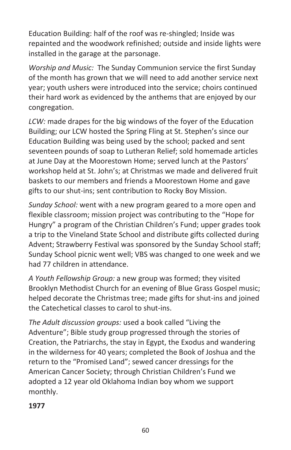Education Building: half of the roof was re-shingled; Inside was repainted and the woodwork refinished; outside and inside lights were installed in the garage at the parsonage.

*Worship and Music:* The Sunday Communion service the first Sunday of the month has grown that we will need to add another service next year; youth ushers were introduced into the service; choirs continued their hard work as evidenced by the anthems that are enjoyed by our congregation.

*LCW:* made drapes for the big windows of the foyer of the Education Building; our LCW hosted the Spring Fling at St. Stephen's since our Education Building was being used by the school; packed and sent seventeen pounds of soap to Lutheran Relief; sold homemade articles at June Day at the Moorestown Home; served lunch at the Pastors' workshop held at St. John's; at Christmas we made and delivered fruit baskets to our members and friends a Moorestown Home and gave gifts to our shut-ins; sent contribution to Rocky Boy Mission.

*Sunday School:* went with a new program geared to a more open and flexible classroom; mission project was contributing to the "Hope for Hungry" a program of the Christian Children's Fund; upper grades took a trip to the Vineland State School and distribute gifts collected during Advent; Strawberry Festival was sponsored by the Sunday School staff; Sunday School picnic went well; VBS was changed to one week and we had 77 children in attendance.

*A Youth Fellowship Group:* a new group was formed; they visited Brooklyn Methodist Church for an evening of Blue Grass Gospel music; helped decorate the Christmas tree; made gifts for shut-ins and joined the Catechetical classes to carol to shut-ins.

*The Adult discussion groups:* used a book called "Living the Adventure"; Bible study group progressed through the stories of Creation, the Patriarchs, the stay in Egypt, the Exodus and wandering in the wilderness for 40 years; completed the Book of Joshua and the return to the "Promised Land"; sewed cancer dressings for the American Cancer Society; through Christian Children's Fund we adopted a 12 year old Oklahoma Indian boy whom we support monthly.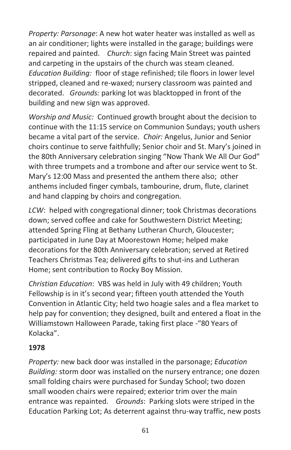*Property: Parsonage*: A new hot water heater was installed as well as an air conditioner; lights were installed in the garage; buildings were repaired and painted. *Church*: sign facing Main Street was painted and carpeting in the upstairs of the church was steam cleaned. *Education Building:* floor of stage refinished; tile floors in lower level stripped, cleaned and re-waxed; nursery classroom was painted and decorated. *Grounds:* parking lot was blacktopped in front of the building and new sign was approved.

*Worship and Music:* Continued growth brought about the decision to continue with the 11:15 service on Communion Sundays; youth ushers became a vital part of the service. *Choir:* Angelus, Junior and Senior choirs continue to serve faithfully; Senior choir and St. Mary's joined in the 80th Anniversary celebration singing "Now Thank We All Our God" with three trumpets and a trombone and after our service went to St. Mary's 12:00 Mass and presented the anthem there also; other anthems included finger cymbals, tambourine, drum, flute, clarinet and hand clapping by choirs and congregation.

*LCW*: helped with congregational dinner; took Christmas decorations down; served coffee and cake for Southwestern District Meeting; attended Spring Fling at Bethany Lutheran Church, Gloucester; participated in June Day at Moorestown Home; helped make decorations for the 80th Anniversary celebration; served at Retired Teachers Christmas Tea; delivered gifts to shut-ins and Lutheran Home; sent contribution to Rocky Boy Mission.

*Christian Education*: VBS was held in July with 49 children; Youth Fellowship is in it's second year; fifteen youth attended the Youth Convention in Atlantic City; held two hoagie sales and a flea market to help pay for convention; they designed, built and entered a float in the Williamstown Halloween Parade, taking first place -"80 Years of Kolacka".

#### **1978**

*Property:* new back door was installed in the parsonage; *Education Building:* storm door was installed on the nursery entrance; one dozen small folding chairs were purchased for Sunday School; two dozen small wooden chairs were repaired; exterior trim over the main entrance was repainted. *Grounds*: Parking slots were striped in the Education Parking Lot; As deterrent against thru-way traffic, new posts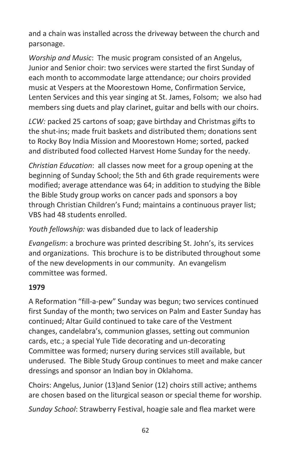and a chain was installed across the driveway between the church and parsonage.

*Worship and Music*: The music program consisted of an Angelus, Junior and Senior choir: two services were started the first Sunday of each month to accommodate large attendance; our choirs provided music at Vespers at the Moorestown Home, Confirmation Service, Lenten Services and this year singing at St. James, Folsom; we also had members sing duets and play clarinet, guitar and bells with our choirs.

*LCW:* packed 25 cartons of soap; gave birthday and Christmas gifts to the shut-ins; made fruit baskets and distributed them; donations sent to Rocky Boy India Mission and Moorestown Home; sorted, packed and distributed food collected Harvest Home Sunday for the needy.

*Christian Education*: all classes now meet for a group opening at the beginning of Sunday School; the 5th and 6th grade requirements were modified; average attendance was 64; in addition to studying the Bible the Bible Study group works on cancer pads and sponsors a boy through Christian Children's Fund; maintains a continuous prayer list; VBS had 48 students enrolled.

*Youth fellowship:* was disbanded due to lack of leadership

*Evangelism*: a brochure was printed describing St. John's, its services and organizations. This brochure is to be distributed throughout some of the new developments in our community. An evangelism committee was formed.

#### **1979**

A Reformation "fill-a-pew" Sunday was begun; two services continued first Sunday of the month; two services on Palm and Easter Sunday has continued; Altar Guild continued to take care of the Vestment changes, candelabra's, communion glasses, setting out communion cards, etc.; a special Yule Tide decorating and un-decorating Committee was formed; nursery during services still available, but underused. The Bible Study Group continues to meet and make cancer dressings and sponsor an Indian boy in Oklahoma.

Choirs: Angelus, Junior (13)and Senior (12) choirs still active; anthems are chosen based on the liturgical season or special theme for worship.

*Sunday School*: Strawberry Festival, hoagie sale and flea market were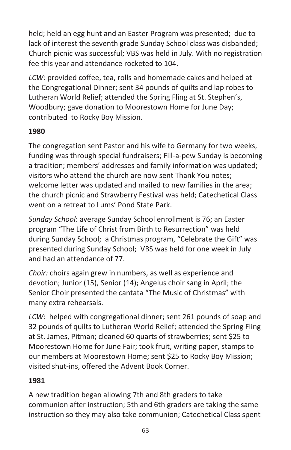held; held an egg hunt and an Easter Program was presented; due to lack of interest the seventh grade Sunday School class was disbanded; Church picnic was successful; VBS was held in July. With no registration fee this year and attendance rocketed to 104.

*LCW:* provided coffee, tea, rolls and homemade cakes and helped at the Congregational Dinner; sent 34 pounds of quilts and lap robes to Lutheran World Relief; attended the Spring Fling at St. Stephen's, Woodbury; gave donation to Moorestown Home for June Day; contributed to Rocky Boy Mission.

## **1980**

The congregation sent Pastor and his wife to Germany for two weeks, funding was through special fundraisers; Fill-a-pew Sunday is becoming a tradition; members' addresses and family information was updated; visitors who attend the church are now sent Thank You notes; welcome letter was updated and mailed to new families in the area; the church picnic and Strawberry Festival was held; Catechetical Class went on a retreat to Lums' Pond State Park.

*Sunday School*: average Sunday School enrollment is 76; an Easter program "The Life of Christ from Birth to Resurrection" was held during Sunday School; a Christmas program, "Celebrate the Gift" was presented during Sunday School; VBS was held for one week in July and had an attendance of 77.

*Choir:* choirs again grew in numbers, as well as experience and devotion; Junior (15), Senior (14); Angelus choir sang in April; the Senior Choir presented the cantata "The Music of Christmas" with many extra rehearsals.

*LCW*: helped with congregational dinner; sent 261 pounds of soap and 32 pounds of quilts to Lutheran World Relief; attended the Spring Fling at St. James, Pitman; cleaned 60 quarts of strawberries; sent \$25 to Moorestown Home for June Fair; took fruit, writing paper, stamps to our members at Moorestown Home; sent \$25 to Rocky Boy Mission; visited shut-ins, offered the Advent Book Corner.

#### **1981**

A new tradition began allowing 7th and 8th graders to take communion after instruction; 5th and 6th graders are taking the same instruction so they may also take communion; Catechetical Class spent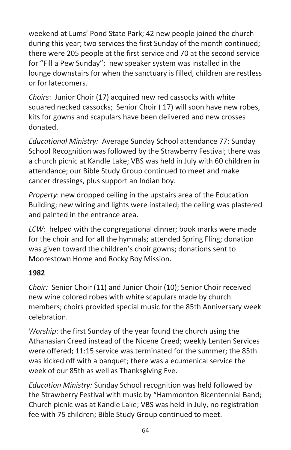weekend at Lums' Pond State Park; 42 new people joined the church during this year; two services the first Sunday of the month continued; there were 205 people at the first service and 70 at the second service for "Fill a Pew Sunday"; new speaker system was installed in the lounge downstairs for when the sanctuary is filled, children are restless or for latecomers.

*Choirs*: Junior Choir (17) acquired new red cassocks with white squared necked cassocks; Senior Choir ( 17) will soon have new robes, kits for gowns and scapulars have been delivered and new crosses donated.

*Educational Ministry:* Average Sunday School attendance 77; Sunday School Recognition was followed by the Strawberry Festival; there was a church picnic at Kandle Lake; VBS was held in July with 60 children in attendance; our Bible Study Group continued to meet and make cancer dressings, plus support an Indian boy.

*Property*: new dropped ceiling in the upstairs area of the Education Building; new wiring and lights were installed; the ceiling was plastered and painted in the entrance area.

*LCW:* helped with the congregational dinner; book marks were made for the choir and for all the hymnals; attended Spring Fling; donation was given toward the children's choir gowns; donations sent to Moorestown Home and Rocky Boy Mission.

#### **1982**

*Choir:* Senior Choir (11) and Junior Choir (10); Senior Choir received new wine colored robes with white scapulars made by church members; choirs provided special music for the 85th Anniversary week celebration.

*Worship*: the first Sunday of the year found the church using the Athanasian Creed instead of the Nicene Creed; weekly Lenten Services were offered; 11:15 service was terminated for the summer; the 85th was kicked off with a banquet; there was a ecumenical service the week of our 85th as well as Thanksgiving Eve.

*Education Ministry:* Sunday School recognition was held followed by the Strawberry Festival with music by "Hammonton Bicentennial Band; Church picnic was at Kandle Lake; VBS was held in July, no registration fee with 75 children; Bible Study Group continued to meet.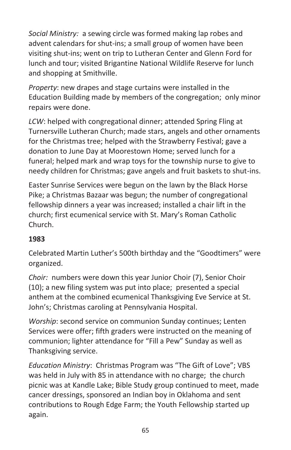*Social Ministry:* a sewing circle was formed making lap robes and advent calendars for shut-ins; a small group of women have been visiting shut-ins; went on trip to Lutheran Center and Glenn Ford for lunch and tour; visited Brigantine National Wildlife Reserve for lunch and shopping at Smithville.

*Property*: new drapes and stage curtains were installed in the Education Building made by members of the congregation; only minor repairs were done.

*LCW*: helped with congregational dinner; attended Spring Fling at Turnersville Lutheran Church; made stars, angels and other ornaments for the Christmas tree; helped with the Strawberry Festival; gave a donation to June Day at Moorestown Home; served lunch for a funeral; helped mark and wrap toys for the township nurse to give to needy children for Christmas; gave angels and fruit baskets to shut-ins.

Easter Sunrise Services were begun on the lawn by the Black Horse Pike; a Christmas Bazaar was begun; the number of congregational fellowship dinners a year was increased; installed a chair lift in the church; first ecumenical service with St. Mary's Roman Catholic Church.

## **1983**

Celebrated Martin Luther's 500th birthday and the "Goodtimers" were organized.

*Choir:* numbers were down this year Junior Choir (7), Senior Choir (10); a new filing system was put into place; presented a special anthem at the combined ecumenical Thanksgiving Eve Service at St. John's; Christmas caroling at Pennsylvania Hospital.

*Worship*: second service on communion Sunday continues; Lenten Services were offer; fifth graders were instructed on the meaning of communion; lighter attendance for "Fill a Pew" Sunday as well as Thanksgiving service.

*Education Ministry*: Christmas Program was "The Gift of Love"; VBS was held in July with 85 in attendance with no charge; the church picnic was at Kandle Lake; Bible Study group continued to meet, made cancer dressings, sponsored an Indian boy in Oklahoma and sent contributions to Rough Edge Farm; the Youth Fellowship started up again.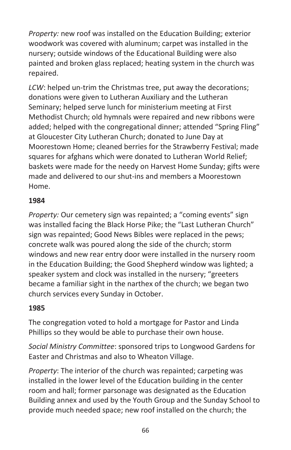*Property:* new roof was installed on the Education Building; exterior woodwork was covered with aluminum; carpet was installed in the nursery; outside windows of the Educational Building were also painted and broken glass replaced; heating system in the church was repaired.

*LCW*: helped un-trim the Christmas tree, put away the decorations; donations were given to Lutheran Auxiliary and the Lutheran Seminary; helped serve lunch for ministerium meeting at First Methodist Church; old hymnals were repaired and new ribbons were added; helped with the congregational dinner; attended "Spring Fling" at Gloucester City Lutheran Church; donated to June Day at Moorestown Home; cleaned berries for the Strawberry Festival; made squares for afghans which were donated to Lutheran World Relief; baskets were made for the needy on Harvest Home Sunday; gifts were made and delivered to our shut-ins and members a Moorestown Home.

#### **1984**

*Property:* Our cemetery sign was repainted; a "coming events" sign was installed facing the Black Horse Pike; the "Last Lutheran Church" sign was repainted; Good News Bibles were replaced in the pews; concrete walk was poured along the side of the church; storm windows and new rear entry door were installed in the nursery room in the Education Building; the Good Shepherd window was lighted; a speaker system and clock was installed in the nursery; "greeters became a familiar sight in the narthex of the church; we began two church services every Sunday in October.

## **1985**

The congregation voted to hold a mortgage for Pastor and Linda Phillips so they would be able to purchase their own house.

*Social Ministry Committee*: sponsored trips to Longwood Gardens for Easter and Christmas and also to Wheaton Village.

*Property*: The interior of the church was repainted; carpeting was installed in the lower level of the Education building in the center room and hall; former parsonage was designated as the Education Building annex and used by the Youth Group and the Sunday School to provide much needed space; new roof installed on the church; the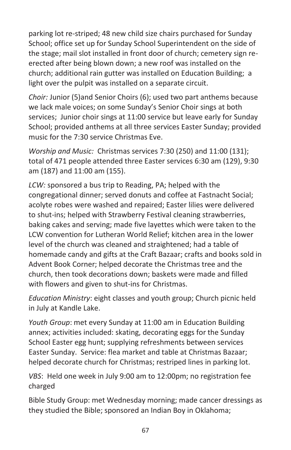parking lot re-striped; 48 new child size chairs purchased for Sunday School; office set up for Sunday School Superintendent on the side of the stage; mail slot installed in front door of church; cemetery sign reerected after being blown down; a new roof was installed on the church; additional rain gutter was installed on Education Building; a light over the pulpit was installed on a separate circuit.

*Choir:* Junior (5)and Senior Choirs (6); used two part anthems because we lack male voices; on some Sunday's Senior Choir sings at both services; Junior choir sings at 11:00 service but leave early for Sunday School; provided anthems at all three services Easter Sunday; provided music for the 7:30 service Christmas Eve.

*Worship and Music:* Christmas services 7:30 (250) and 11:00 (131); total of 471 people attended three Easter services 6:30 am (129), 9:30 am (187) and 11:00 am (155).

*LCW:* sponsored a bus trip to Reading, PA; helped with the congregational dinner; served donuts and coffee at Fastnacht Social; acolyte robes were washed and repaired; Easter lilies were delivered to shut-ins; helped with Strawberry Festival cleaning strawberries, baking cakes and serving; made five layettes which were taken to the LCW convention for Lutheran World Relief; kitchen area in the lower level of the church was cleaned and straightened; had a table of homemade candy and gifts at the Craft Bazaar; crafts and books sold in Advent Book Corner; helped decorate the Christmas tree and the church, then took decorations down; baskets were made and filled with flowers and given to shut-ins for Christmas.

*Education Ministry*: eight classes and youth group; Church picnic held in July at Kandle Lake.

*Youth Group*: met every Sunday at 11:00 am in Education Building annex; activities included: skating, decorating eggs for the Sunday School Easter egg hunt; supplying refreshments between services Easter Sunday. Service: flea market and table at Christmas Bazaar; helped decorate church for Christmas; restriped lines in parking lot.

*VBS*: Held one week in July 9:00 am to 12:00pm; no registration fee charged

Bible Study Group: met Wednesday morning; made cancer dressings as they studied the Bible; sponsored an Indian Boy in Oklahoma;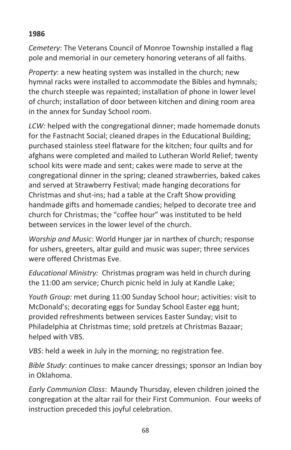#### **1986**

*Cemetery*: The Veterans Council of Monroe Township installed a flag pole and memorial in our cemetery honoring veterans of all faiths.

*Property*: a new heating system was installed in the church; new hymnal racks were installed to accommodate the Bibles and hymnals; the church steeple was repainted; installation of phone in lower level of church; installation of door between kitchen and dining room area in the annex for Sunday School room.

LCW: helped with the congregational dinner; made homemade donuts for the Fastnacht Social; cleaned drapes in the Educational Building; purchased stainless steel flatware for the kitchen; four quilts and for afghans were completed and mailed to Lutheran World Relief; twenty school kits were made and sent; cakes were made to serve at the congregational dinner in the spring; cleaned strawberries, baked cakes and served at Strawberry Festival; made hanging decorations for Christmas and shut-ins; had a table at the Craft Show providing handmade gifts and homemade candies; helped to decorate tree and church for Christmas; the "coffee hour" was instituted to be held between services in the lower level of the church.

*Worship and Music*: World Hunger jar in narthex of church; response for ushers, greeters, altar guild and music was super; three services were offered Christmas Eve.

*Educational Ministry:* Christmas program was held in church during the 11:00 am service; Church picnic held in July at Kandle Lake;

*Youth Group:* met during 11:00 Sunday School hour; activities: visit to McDonald's; decorating eggs for Sunday School Easter egg hunt; provided refreshments between services Easter Sunday; visit to Philadelphia at Christmas time; sold pretzels at Christmas Bazaar; helped with VBS.

*VBS*: held a week in July in the morning; no registration fee.

*Bible Study*: continues to make cancer dressings; sponsor an Indian boy in Oklahoma.

*Early Communion Class*: Maundy Thursday, eleven children joined the congregation at the altar rail for their First Communion. Four weeks of instruction preceded this joyful celebration.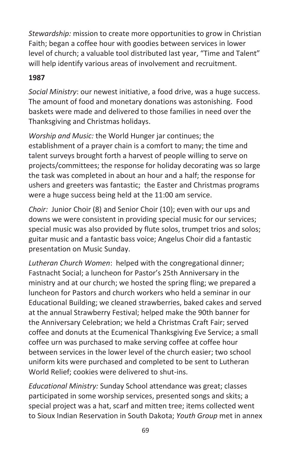*Stewardship:* mission to create more opportunities to grow in Christian Faith; began a coffee hour with goodies between services in lower level of church; a valuable tool distributed last year, "Time and Talent" will help identify various areas of involvement and recruitment.

## **1987**

*Social Ministry*: our newest initiative, a food drive, was a huge success. The amount of food and monetary donations was astonishing. Food baskets were made and delivered to those families in need over the Thanksgiving and Christmas holidays.

*Worship and Music:* the World Hunger jar continues; the establishment of a prayer chain is a comfort to many; the time and talent surveys brought forth a harvest of people willing to serve on projects/committees; the response for holiday decorating was so large the task was completed in about an hour and a half; the response for ushers and greeters was fantastic; the Easter and Christmas programs were a huge success being held at the 11:00 am service.

*Choir:* Junior Choir (8) and Senior Choir (10); even with our ups and downs we were consistent in providing special music for our services; special music was also provided by flute solos, trumpet trios and solos; guitar music and a fantastic bass voice; Angelus Choir did a fantastic presentation on Music Sunday.

*Lutheran Church Women*: helped with the congregational dinner; Fastnacht Social; a luncheon for Pastor's 25th Anniversary in the ministry and at our church; we hosted the spring fling; we prepared a luncheon for Pastors and church workers who held a seminar in our Educational Building; we cleaned strawberries, baked cakes and served at the annual Strawberry Festival; helped make the 90th banner for the Anniversary Celebration; we held a Christmas Craft Fair; served coffee and donuts at the Ecumenical Thanksgiving Eve Service; a small coffee urn was purchased to make serving coffee at coffee hour between services in the lower level of the church easier; two school uniform kits were purchased and completed to be sent to Lutheran World Relief; cookies were delivered to shut-ins.

*Educational Ministry:* Sunday School attendance was great; classes participated in some worship services, presented songs and skits; a special project was a hat, scarf and mitten tree; items collected went to Sioux Indian Reservation in South Dakota; *Youth Group* met in annex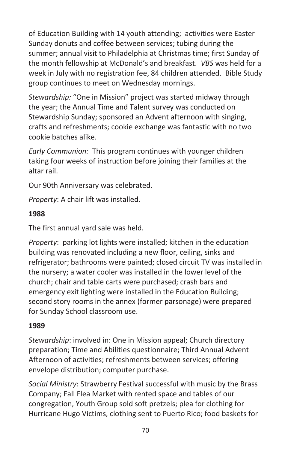of Education Building with 14 youth attending; activities were Easter Sunday donuts and coffee between services; tubing during the summer; annual visit to Philadelphia at Christmas time; first Sunday of the month fellowship at McDonald's and breakfast. *VBS* was held for a week in July with no registration fee, 84 children attended. Bible Study group continues to meet on Wednesday mornings.

*Stewardship:* "One in Mission" project was started midway through the year; the Annual Time and Talent survey was conducted on Stewardship Sunday; sponsored an Advent afternoon with singing, crafts and refreshments; cookie exchange was fantastic with no two cookie batches alike.

*Early Communion:* This program continues with younger children taking four weeks of instruction before joining their families at the altar rail.

Our 90th Anniversary was celebrated.

*Property*: A chair lift was installed.

#### **1988**

The first annual yard sale was held.

*Property*: parking lot lights were installed; kitchen in the education building was renovated including a new floor, ceiling, sinks and refrigerator; bathrooms were painted; closed circuit TV was installed in the nursery; a water cooler was installed in the lower level of the church; chair and table carts were purchased; crash bars and emergency exit lighting were installed in the Education Building; second story rooms in the annex (former parsonage) were prepared for Sunday School classroom use.

#### **1989**

*Stewardship*: involved in: One in Mission appeal; Church directory preparation; Time and Abilities questionnaire; Third Annual Advent Afternoon of activities; refreshments between services; offering envelope distribution; computer purchase.

*Social Ministry*: Strawberry Festival successful with music by the Brass Company; Fall Flea Market with rented space and tables of our congregation, Youth Group sold soft pretzels; plea for clothing for Hurricane Hugo Victims, clothing sent to Puerto Rico; food baskets for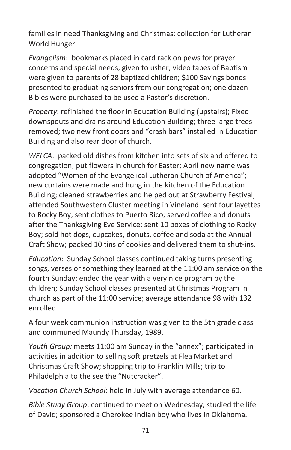families in need Thanksgiving and Christmas; collection for Lutheran World Hunger.

*Evangelism*: bookmarks placed in card rack on pews for prayer concerns and special needs, given to usher; video tapes of Baptism were given to parents of 28 baptized children; \$100 Savings bonds presented to graduating seniors from our congregation; one dozen Bibles were purchased to be used a Pastor's discretion.

*Property*: refinished the floor in Education Building (upstairs); Fixed downspouts and drains around Education Building; three large trees removed; two new front doors and "crash bars" installed in Education Building and also rear door of church.

*WELCA*: packed old dishes from kitchen into sets of six and offered to congregation; put flowers In church for Easter; April new name was adopted "Women of the Evangelical Lutheran Church of America"; new curtains were made and hung in the kitchen of the Education Building; cleaned strawberries and helped out at Strawberry Festival; attended Southwestern Cluster meeting in Vineland; sent four layettes to Rocky Boy; sent clothes to Puerto Rico; served coffee and donuts after the Thanksgiving Eve Service; sent 10 boxes of clothing to Rocky Boy; sold hot dogs, cupcakes, donuts, coffee and soda at the Annual Craft Show; packed 10 tins of cookies and delivered them to shut-ins.

*Education*: Sunday School classes continued taking turns presenting songs, verses or something they learned at the 11:00 am service on the fourth Sunday; ended the year with a very nice program by the children; Sunday School classes presented at Christmas Program in church as part of the 11:00 service; average attendance 98 with 132 enrolled.

A four week communion instruction was given to the 5th grade class and communed Maundy Thursday, 1989.

*Youth Group:* meets 11:00 am Sunday in the "annex"; participated in activities in addition to selling soft pretzels at Flea Market and Christmas Craft Show; shopping trip to Franklin Mills; trip to Philadelphia to the see the "Nutcracker".

*Vacation Church School*: held in July with average attendance 60.

*Bible Study Group*: continued to meet on Wednesday; studied the life of David; sponsored a Cherokee Indian boy who lives in Oklahoma.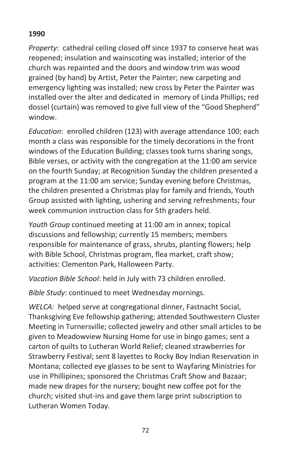#### **1990**

*Property*: cathedral ceiling closed off since 1937 to conserve heat was reopened; insulation and wainscoting was installed; interior of the church was repainted and the doors and window trim was wood grained (by hand) by Artist, Peter the Painter; new carpeting and emergency lighting was installed; new cross by Peter the Painter was installed over the alter and dedicated in memory of Linda Phillips; red dossel (curtain) was removed to give full view of the "Good Shepherd" window.

*Education*: enrolled children (123) with average attendance 100; each month a class was responsible for the timely decorations in the front windows of the Education Building; classes took turns sharing songs, Bible verses, or activity with the congregation at the 11:00 am service on the fourth Sunday; at Recognition Sunday the children presented a program at the 11:00 am service; Sunday evening before Christmas, the children presented a Christmas play for family and friends, Youth Group assisted with lighting, ushering and serving refreshments; four week communion instruction class for 5th graders held.

*Youth Group* continued meeting at 11:00 am in annex; topical discussions and fellowship; currently 15 members; members responsible for maintenance of grass, shrubs, planting flowers; help with Bible School, Christmas program, flea market, craft show; activities: Clementon Park, Halloween Party.

*Vacation Bible School*: held in July with 73 children enrolled.

*Bible Study*: continued to meet Wednesday mornings.

*WELCA:* helped serve at congregational dinner, Fastnacht Social, Thanksgiving Eve fellowship gathering; attended Southwestern Cluster Meeting in Turnersville; collected jewelry and other small articles to be given to Meadowview Nursing Home for use in bingo games; sent a carton of quilts to Lutheran World Relief; cleaned strawberries for Strawberry Festival; sent 8 layettes to Rocky Boy Indian Reservation in Montana; collected eye glasses to be sent to Wayfaring Ministries for use in Phillipines; sponsored the Christmas Craft Show and Bazaar; made new drapes for the nursery; bought new coffee pot for the church; visited shut-ins and gave them large print subscription to Lutheran Women Today.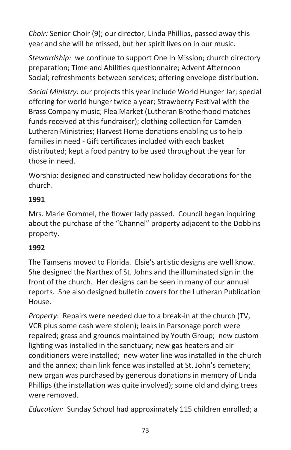*Choir:* Senior Choir (9); our director, Linda Phillips, passed away this year and she will be missed, but her spirit lives on in our music.

*Stewardship:* we continue to support One In Mission; church directory preparation; Time and Abilities questionnaire; Advent Afternoon Social; refreshments between services; offering envelope distribution.

*Social Ministry:* our projects this year include World Hunger Jar; special offering for world hunger twice a year; Strawberry Festival with the Brass Company music; Flea Market (Lutheran Brotherhood matches funds received at this fundraiser); clothing collection for Camden Lutheran Ministries; Harvest Home donations enabling us to help families in need - Gift certificates included with each basket distributed; kept a food pantry to be used throughout the year for those in need.

Worship: designed and constructed new holiday decorations for the church.

## **1991**

Mrs. Marie Gommel, the flower lady passed. Council began inquiring about the purchase of the "Channel" property adjacent to the Dobbins property.

## **1992**

The Tamsens moved to Florida. Elsie's artistic designs are well know. She designed the Narthex of St. Johns and the illuminated sign in the front of the church. Her designs can be seen in many of our annual reports. She also designed bulletin covers for the Lutheran Publication House.

*Property*: Repairs were needed due to a break-in at the church (TV, VCR plus some cash were stolen); leaks in Parsonage porch were repaired; grass and grounds maintained by Youth Group; new custom lighting was installed in the sanctuary; new gas heaters and air conditioners were installed; new water line was installed in the church and the annex; chain link fence was installed at St. John's cemetery; new organ was purchased by generous donations in memory of Linda Phillips (the installation was quite involved); some old and dying trees were removed.

*Education:* Sunday School had approximately 115 children enrolled; a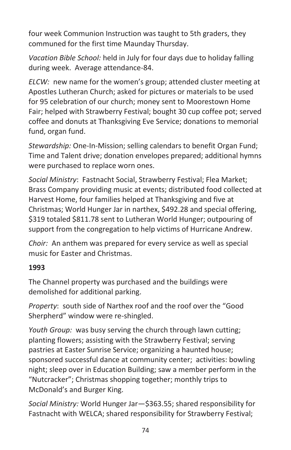four week Communion Instruction was taught to 5th graders, they communed for the first time Maunday Thursday.

*Vacation Bible School:* held in July for four days due to holiday falling during week. Average attendance-84.

*ELCW:* new name for the women's group; attended cluster meeting at Apostles Lutheran Church; asked for pictures or materials to be used for 95 celebration of our church; money sent to Moorestown Home Fair; helped with Strawberry Festival; bought 30 cup coffee pot; served coffee and donuts at Thanksgiving Eve Service; donations to memorial fund, organ fund.

*Stewardship:* One-In-Mission; selling calendars to benefit Organ Fund; Time and Talent drive; donation envelopes prepared; additional hymns were purchased to replace worn ones.

*Social Ministry*: Fastnacht Social, Strawberry Festival; Flea Market; Brass Company providing music at events; distributed food collected at Harvest Home, four families helped at Thanksgiving and five at Christmas; World Hunger Jar in narthex, \$492.28 and special offering, \$319 totaled \$811.78 sent to Lutheran World Hunger; outpouring of support from the congregation to help victims of Hurricane Andrew.

*Choir:* An anthem was prepared for every service as well as special music for Easter and Christmas.

#### **1993**

The Channel property was purchased and the buildings were demolished for additional parking.

*Property*: south side of Narthex roof and the roof over the "Good Sherpherd" window were re-shingled.

*Youth Group:* was busy serving the church through lawn cutting; planting flowers; assisting with the Strawberry Festival; serving pastries at Easter Sunrise Service; organizing a haunted house; sponsored successful dance at community center; activities: bowling night; sleep over in Education Building; saw a member perform in the "Nutcracker"; Christmas shopping together; monthly trips to McDonald's and Burger King.

*Social Ministry:* World Hunger Jar—\$363.55; shared responsibility for Fastnacht with WELCA; shared responsibility for Strawberry Festival;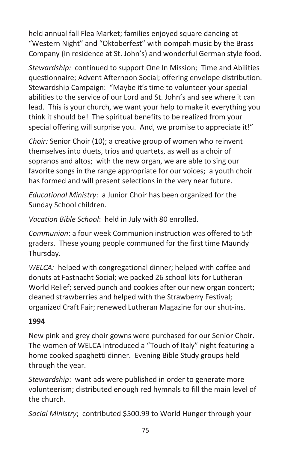held annual fall Flea Market; families enjoyed square dancing at "Western Night" and "Oktoberfest" with oompah music by the Brass Company (in residence at St. John's) and wonderful German style food.

*Stewardship:* continued to support One In Mission; Time and Abilities questionnaire; Advent Afternoon Social; offering envelope distribution. Stewardship Campaign: "Maybe it's time to volunteer your special abilities to the service of our Lord and St. John's and see where it can lead. This is your church, we want your help to make it everything you think it should be! The spiritual benefits to be realized from your special offering will surprise you. And, we promise to appreciate it!"

*Choir:* Senior Choir (10); a creative group of women who reinvent themselves into duets, trios and quartets, as well as a choir of sopranos and altos; with the new organ, we are able to sing our favorite songs in the range appropriate for our voices; a youth choir has formed and will present selections in the very near future.

*Educational Ministry*: a Junior Choir has been organized for the Sunday School children.

*Vacation Bible School*: held in July with 80 enrolled.

*Communion*: a four week Communion instruction was offered to 5th graders. These young people communed for the first time Maundy Thursday.

*WELCA:* helped with congregational dinner; helped with coffee and donuts at Fastnacht Social; we packed 26 school kits for Lutheran World Relief; served punch and cookies after our new organ concert; cleaned strawberries and helped with the Strawberry Festival; organized Craft Fair; renewed Lutheran Magazine for our shut-ins.

#### **1994**

New pink and grey choir gowns were purchased for our Senior Choir. The women of WELCA introduced a "Touch of Italy" night featuring a home cooked spaghetti dinner. Evening Bible Study groups held through the year.

*Stewardship*: want ads were published in order to generate more volunteerism; distributed enough red hymnals to fill the main level of the church.

*Social Ministry*; contributed \$500.99 to World Hunger through your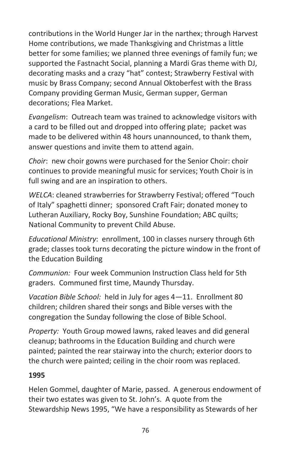contributions in the World Hunger Jar in the narthex; through Harvest Home contributions, we made Thanksgiving and Christmas a little better for some families; we planned three evenings of family fun; we supported the Fastnacht Social, planning a Mardi Gras theme with DJ, decorating masks and a crazy "hat" contest; Strawberry Festival with music by Brass Company; second Annual Oktoberfest with the Brass Company providing German Music, German supper, German decorations; Flea Market.

*Evangelism*: Outreach team was trained to acknowledge visitors with a card to be filled out and dropped into offering plate; packet was made to be delivered within 48 hours unannounced, to thank them, answer questions and invite them to attend again.

*Choir*: new choir gowns were purchased for the Senior Choir: choir continues to provide meaningful music for services; Youth Choir is in full swing and are an inspiration to others.

*WELCA*: cleaned strawberries for Strawberry Festival; offered "Touch of Italy" spaghetti dinner; sponsored Craft Fair; donated money to Lutheran Auxiliary, Rocky Boy, Sunshine Foundation; ABC quilts; National Community to prevent Child Abuse.

*Educational Ministry*: enrollment, 100 in classes nursery through 6th grade; classes took turns decorating the picture window in the front of the Education Building

*Communion:* Four week Communion Instruction Class held for 5th graders. Communed first time, Maundy Thursday.

*Vacation Bible School:* held in July for ages 4—11. Enrollment 80 children; children shared their songs and Bible verses with the congregation the Sunday following the close of Bible School.

*Property:* Youth Group mowed lawns, raked leaves and did general cleanup; bathrooms in the Education Building and church were painted; painted the rear stairway into the church; exterior doors to the church were painted; ceiling in the choir room was replaced.

#### **1995**

Helen Gommel, daughter of Marie, passed. A generous endowment of their two estates was given to St. John's. A quote from the Stewardship News 1995, "We have a responsibility as Stewards of her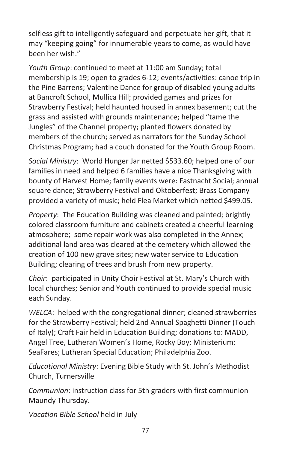selfless gift to intelligently safeguard and perpetuate her gift, that it may "keeping going" for innumerable years to come, as would have been her wish."

*Youth Group*: continued to meet at 11:00 am Sunday; total membership is 19; open to grades 6-12; events/activities: canoe trip in the Pine Barrens; Valentine Dance for group of disabled young adults at Bancroft School, Mullica Hill; provided games and prizes for Strawberry Festival; held haunted housed in annex basement; cut the grass and assisted with grounds maintenance; helped "tame the Jungles" of the Channel property; planted flowers donated by members of the church; served as narrators for the Sunday School Christmas Program; had a couch donated for the Youth Group Room.

*Social Ministry*: World Hunger Jar netted \$533.60; helped one of our families in need and helped 6 families have a nice Thanksgiving with bounty of Harvest Home; family events were: Fastnacht Social; annual square dance; Strawberry Festival and Oktoberfest; Brass Company provided a variety of music; held Flea Market which netted \$499.05.

*Property*: The Education Building was cleaned and painted; brightly colored classroom furniture and cabinets created a cheerful learning atmosphere; some repair work was also completed in the Annex; additional land area was cleared at the cemetery which allowed the creation of 100 new grave sites; new water service to Education Building; clearing of trees and brush from new property.

*Choir*: participated in Unity Choir Festival at St. Mary's Church with local churches; Senior and Youth continued to provide special music each Sunday.

*WELCA*: helped with the congregational dinner; cleaned strawberries for the Strawberry Festival; held 2nd Annual Spaghetti Dinner (Touch of Italy); Craft Fair held in Education Building; donations to: MADD, Angel Tree, Lutheran Women's Home, Rocky Boy; Ministerium; SeaFares; Lutheran Special Education; Philadelphia Zoo.

*Educational Ministry*: Evening Bible Study with St. John's Methodist Church, Turnersville

*Communion*: instruction class for 5th graders with first communion Maundy Thursday.

*Vacation Bible School* held in July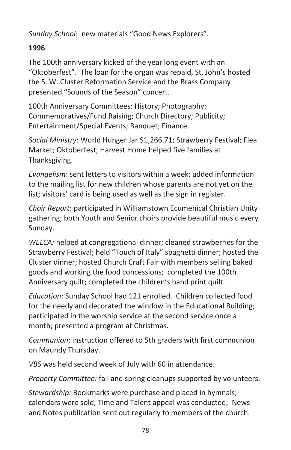*Sunday School*: new materials "Good News Explorers".

## **1996**

The 100th anniversary kicked of the year long event with an "Oktoberfest". The loan for the organ was repaid, St. John's hosted the S. W. Cluster Reformation Service and the Brass Company presented "Sounds of the Season" concert.

100th Anniversary Committees: History; Photography: Commemoratives/Fund Raising; Church Directory; Publicity; Entertainment/Special Events; Banquet; Finance.

*Social Ministry*: World Hunger Jar \$1,266.71; Strawberry Festival; Flea Market; Oktoberfest; Harvest Home helped five families at Thanksgiving.

*Evangelism*: sent letters to visitors within a week; added information to the mailing list for new children whose parents are not yet on the list; visitors' card is being used as well as the sign in register.

*Choir Report*: participated in Williamstown Ecumenical Christian Unity gathering; both Youth and Senior choirs provide beautiful music every Sunday.

*WELCA:* helped at congregational dinner; cleaned strawberries for the Strawberry Festival; held "Touch of Italy" spaghetti dinner; hosted the Cluster dinner; hosted Church Craft Fair with members selling baked goods and working the food concessions; completed the 100th Anniversary quilt; completed the children's hand print quilt.

*Education*: Sunday School had 121 enrolled. Children collected food for the needy and decorated the window in the Educational Building; participated in the worship service at the second service once a month; presented a program at Christmas.

*Communion*: instruction offered to 5th graders with first communion on Maundy Thursday.

*VBS* was held second week of July with 60 in attendance.

*Property Committee:* fall and spring cleanups supported by volunteers.

*Stewardship:* Bookmarks were purchase and placed in hymnals; calendars were sold; Time and Talent appeal was conducted; News and Notes publication sent out regularly to members of the church.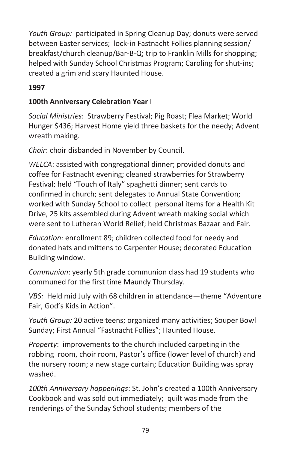*Youth Group:* participated in Spring Cleanup Day; donuts were served between Easter services; lock-in Fastnacht Follies planning session/ breakfast/church cleanup/Bar-B-Q; trip to Franklin Mills for shopping; helped with Sunday School Christmas Program; Caroling for shut-ins; created a grim and scary Haunted House.

## **1997**

## **100th Anniversary Celebration Year** I

*Social Ministries*: Strawberry Festival; Pig Roast; Flea Market; World Hunger \$436; Harvest Home yield three baskets for the needy; Advent wreath making.

*Choir*: choir disbanded in November by Council.

*WELCA*: assisted with congregational dinner; provided donuts and coffee for Fastnacht evening; cleaned strawberries for Strawberry Festival; held "Touch of Italy" spaghetti dinner; sent cards to confirmed in church; sent delegates to Annual State Convention; worked with Sunday School to collect personal items for a Health Kit Drive, 25 kits assembled during Advent wreath making social which were sent to Lutheran World Relief; held Christmas Bazaar and Fair.

*Education:* enrollment 89; children collected food for needy and donated hats and mittens to Carpenter House; decorated Education Building window.

*Communion*: yearly 5th grade communion class had 19 students who communed for the first time Maundy Thursday.

*VBS:* Held mid July with 68 children in attendance—theme "Adventure Fair, God's Kids in Action".

*Youth Group:* 20 active teens; organized many activities; Souper Bowl Sunday; First Annual "Fastnacht Follies"; Haunted House.

*Property*: improvements to the church included carpeting in the robbing room, choir room, Pastor's office (lower level of church) and the nursery room; a new stage curtain; Education Building was spray washed.

*100th Anniversary happenings*: St. John's created a 100th Anniversary Cookbook and was sold out immediately; quilt was made from the renderings of the Sunday School students; members of the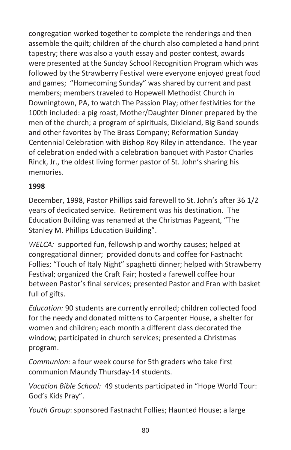congregation worked together to complete the renderings and then assemble the quilt; children of the church also completed a hand print tapestry; there was also a youth essay and poster contest, awards were presented at the Sunday School Recognition Program which was followed by the Strawberry Festival were everyone enjoyed great food and games; "Homecoming Sunday" was shared by current and past members; members traveled to Hopewell Methodist Church in Downingtown, PA, to watch The Passion Play; other festivities for the 100th included: a pig roast, Mother/Daughter Dinner prepared by the men of the church; a program of spirituals, Dixieland, Big Band sounds and other favorites by The Brass Company; Reformation Sunday Centennial Celebration with Bishop Roy Riley in attendance. The year of celebration ended with a celebration banquet with Pastor Charles Rinck, Jr., the oldest living former pastor of St. John's sharing his memories.

#### **1998**

December, 1998, Pastor Phillips said farewell to St. John's after 36 1/2 years of dedicated service. Retirement was his destination. The Education Building was renamed at the Christmas Pageant, "The Stanley M. Phillips Education Building".

*WELCA:* supported fun, fellowship and worthy causes; helped at congregational dinner; provided donuts and coffee for Fastnacht Follies; "Touch of Italy Night" spaghetti dinner; helped with Strawberry Festival; organized the Craft Fair; hosted a farewell coffee hour between Pastor's final services; presented Pastor and Fran with basket full of gifts.

*Education:* 90 students are currently enrolled; children collected food for the needy and donated mittens to Carpenter House, a shelter for women and children; each month a different class decorated the window; participated in church services; presented a Christmas program.

*Communion:* a four week course for 5th graders who take first communion Maundy Thursday-14 students.

*Vacation Bible School:* 49 students participated in "Hope World Tour: God's Kids Pray".

*Youth Group*: sponsored Fastnacht Follies; Haunted House; a large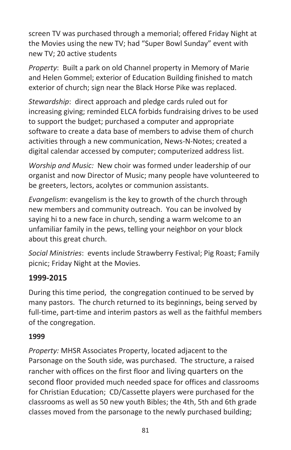screen TV was purchased through a memorial; offered Friday Night at the Movies using the new TV; had "Super Bowl Sunday" event with new TV; 20 active students

*Property*: Built a park on old Channel property in Memory of Marie and Helen Gommel; exterior of Education Building finished to match exterior of church; sign near the Black Horse Pike was replaced.

*Stewardship*: direct approach and pledge cards ruled out for increasing giving; reminded ELCA forbids fundraising drives to be used to support the budget; purchased a computer and appropriate software to create a data base of members to advise them of church activities through a new communication, News-N-Notes; created a digital calendar accessed by computer; computerized address list.

*Worship and Music:* New choir was formed under leadership of our organist and now Director of Music; many people have volunteered to be greeters, lectors, acolytes or communion assistants.

*Evangelism*: evangelism is the key to growth of the church through new members and community outreach. You can be involved by saying hi to a new face in church, sending a warm welcome to an unfamiliar family in the pews, telling your neighbor on your block about this great church.

*Social Ministries*: events include Strawberry Festival; Pig Roast; Family picnic; Friday Night at the Movies.

## **1999-2015**

During this time period, the congregation continued to be served by many pastors. The church returned to its beginnings, being served by full-time, part-time and interim pastors as well as the faithful members of the congregation.

#### **1999**

*Property:* MHSR Associates Property, located adjacent to the Parsonage on the South side, was purchased. The structure, a raised rancher with offices on the first floor and living quarters on the second floor provided much needed space for offices and classrooms for Christian Education; CD/Cassette players were purchased for the classrooms as well as 50 new youth Bibles; the 4th, 5th and 6th grade classes moved from the parsonage to the newly purchased building;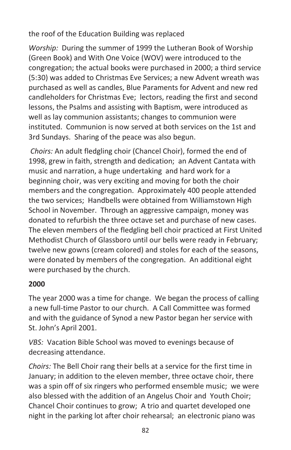the roof of the Education Building was replaced

*Worship:* During the summer of 1999 the Lutheran Book of Worship (Green Book) and With One Voice (WOV) were introduced to the congregation; the actual books were purchased in 2000; a third service (5:30) was added to Christmas Eve Services; a new Advent wreath was purchased as well as candles, Blue Paraments for Advent and new red candleholders for Christmas Eve; lectors, reading the first and second lessons, the Psalms and assisting with Baptism, were introduced as well as lay communion assistants; changes to communion were instituted. Communion is now served at both services on the 1st and 3rd Sundays. Sharing of the peace was also begun.

*Choirs:* An adult fledgling choir (Chancel Choir), formed the end of 1998, grew in faith, strength and dedication; an Advent Cantata with music and narration, a huge undertaking and hard work for a beginning choir, was very exciting and moving for both the choir members and the congregation. Approximately 400 people attended the two services; Handbells were obtained from Williamstown High School in November. Through an aggressive campaign, money was donated to refurbish the three octave set and purchase of new cases. The eleven members of the fledgling bell choir practiced at First United Methodist Church of Glassboro until our bells were ready in February; twelve new gowns (cream colored) and stoles for each of the seasons, were donated by members of the congregation. An additional eight were purchased by the church.

## **2000**

The year 2000 was a time for change. We began the process of calling a new full-time Pastor to our church. A Call Committee was formed and with the guidance of Synod a new Pastor began her service with St. John's April 2001.

*VBS:* Vacation Bible School was moved to evenings because of decreasing attendance.

*Choirs:* The Bell Choir rang their bells at a service for the first time in January; in addition to the eleven member, three octave choir, there was a spin off of six ringers who performed ensemble music; we were also blessed with the addition of an Angelus Choir and Youth Choir; Chancel Choir continues to grow; A trio and quartet developed one night in the parking lot after choir rehearsal; an electronic piano was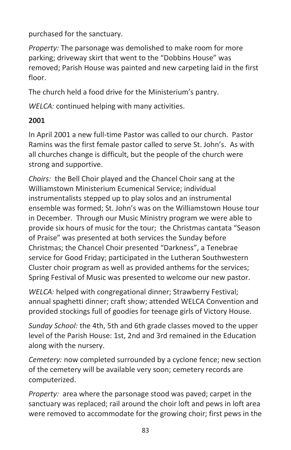purchased for the sanctuary.

*Property:* The parsonage was demolished to make room for more parking; driveway skirt that went to the "Dobbins House" was removed; Parish House was painted and new carpeting laid in the first floor.

The church held a food drive for the Ministerium's pantry.

*WELCA:* continued helping with many activities.

## **2001**

In April 2001 a new full-time Pastor was called to our church. Pastor Ramins was the first female pastor called to serve St. John's. As with all churches change is difficult, but the people of the church were strong and supportive.

*Choirs:* the Bell Choir played and the Chancel Choir sang at the Williamstown Ministerium Ecumenical Service; individual instrumentalists stepped up to play solos and an instrumental ensemble was formed; St. John's was on the Williamstown House tour in December. Through our Music Ministry program we were able to provide six hours of music for the tour; the Christmas cantata "Season of Praise" was presented at both services the Sunday before Christmas; the Chancel Choir presented "Darkness", a Tenebrae service for Good Friday; participated in the Lutheran Southwestern Cluster choir program as well as provided anthems for the services; Spring Festival of Music was presented to welcome our new pastor.

*WELCA:* helped with congregational dinner; Strawberry Festival; annual spaghetti dinner; craft show; attended WELCA Convention and provided stockings full of goodies for teenage girls of Victory House.

*Sunday School:* the 4th, 5th and 6th grade classes moved to the upper level of the Parish House: 1st, 2nd and 3rd remained in the Education along with the nursery.

*Cemetery:* now completed surrounded by a cyclone fence; new section of the cemetery will be available very soon; cemetery records are computerized.

*Property:* area where the parsonage stood was paved; carpet in the sanctuary was replaced; rail around the choir loft and pews in loft area were removed to accommodate for the growing choir; first pews in the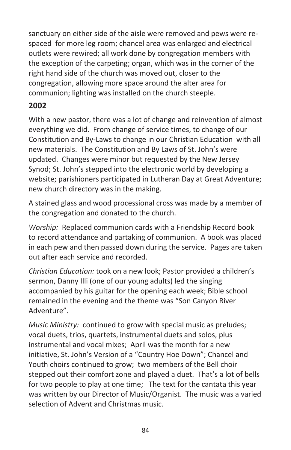sanctuary on either side of the aisle were removed and pews were respaced for more leg room; chancel area was enlarged and electrical outlets were rewired; all work done by congregation members with the exception of the carpeting; organ, which was in the corner of the right hand side of the church was moved out, closer to the congregation, allowing more space around the alter area for communion; lighting was installed on the church steeple.

## **2002**

With a new pastor, there was a lot of change and reinvention of almost everything we did. From change of service times, to change of our Constitution and By-Laws to change in our Christian Education with all new materials. The Constitution and By Laws of St. John's were updated. Changes were minor but requested by the New Jersey Synod; St. John's stepped into the electronic world by developing a website; parishioners participated in Lutheran Day at Great Adventure; new church directory was in the making.

A stained glass and wood processional cross was made by a member of the congregation and donated to the church.

*Worship:* Replaced communion cards with a Friendship Record book to record attendance and partaking of communion. A book was placed in each pew and then passed down during the service. Pages are taken out after each service and recorded.

*Christian Education:* took on a new look; Pastor provided a children's sermon, Danny Illi (one of our young adults) led the singing accompanied by his guitar for the opening each week; Bible school remained in the evening and the theme was "Son Canyon River Adventure".

*Music Ministry:* continued to grow with special music as preludes; vocal duets, trios, quartets, instrumental duets and solos, plus instrumental and vocal mixes; April was the month for a new initiative, St. John's Version of a "Country Hoe Down"; Chancel and Youth choirs continued to grow; two members of the Bell choir stepped out their comfort zone and played a duet. That's a lot of bells for two people to play at one time; The text for the cantata this year was written by our Director of Music/Organist. The music was a varied selection of Advent and Christmas music.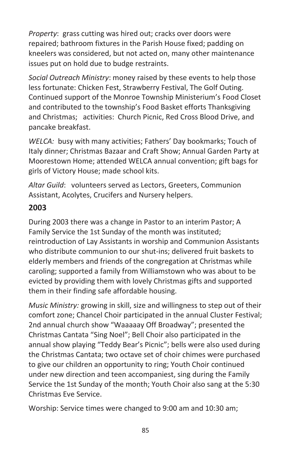*Property*: grass cutting was hired out; cracks over doors were repaired; bathroom fixtures in the Parish House fixed; padding on kneelers was considered, but not acted on, many other maintenance issues put on hold due to budge restraints.

*Social Outreach Ministry*: money raised by these events to help those less fortunate: Chicken Fest, Strawberry Festival, The Golf Outing. Continued support of the Monroe Township Ministerium's Food Closet and contributed to the township's Food Basket efforts Thanksgiving and Christmas; activities: Church Picnic, Red Cross Blood Drive, and pancake breakfast.

*WELCA:* busy with many activities; Fathers' Day bookmarks; Touch of Italy dinner; Christmas Bazaar and Craft Show; Annual Garden Party at Moorestown Home; attended WELCA annual convention; gift bags for girls of Victory House; made school kits.

*Altar Guild*: volunteers served as Lectors, Greeters, Communion Assistant, Acolytes, Crucifers and Nursery helpers.

## **2003**

During 2003 there was a change in Pastor to an interim Pastor; A Family Service the 1st Sunday of the month was instituted; reintroduction of Lay Assistants in worship and Communion Assistants who distribute communion to our shut-ins; delivered fruit baskets to elderly members and friends of the congregation at Christmas while caroling; supported a family from Williamstown who was about to be evicted by providing them with lovely Christmas gifts and supported them in their finding safe affordable housing.

*Music Ministry:* growing in skill, size and willingness to step out of their comfort zone; Chancel Choir participated in the annual Cluster Festival; 2nd annual church show "Waaaaay Off Broadway"; presented the Christmas Cantata "Sing Noel"; Bell Choir also participated in the annual show playing "Teddy Bear's Picnic"; bells were also used during the Christmas Cantata; two octave set of choir chimes were purchased to give our children an opportunity to ring; Youth Choir continued under new direction and teen accompaniest, sing during the Family Service the 1st Sunday of the month; Youth Choir also sang at the 5:30 Christmas Eve Service.

Worship: Service times were changed to 9:00 am and 10:30 am;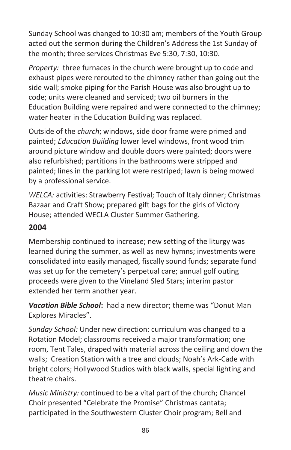Sunday School was changed to 10:30 am; members of the Youth Group acted out the sermon during the Children's Address the 1st Sunday of the month; three services Christmas Eve 5:30, 7:30, 10:30.

*Property:* three furnaces in the church were brought up to code and exhaust pipes were rerouted to the chimney rather than going out the side wall; smoke piping for the Parish House was also brought up to code; units were cleaned and serviced; two oil burners in the Education Building were repaired and were connected to the chimney; water heater in the Education Building was replaced.

Outside of the *church*; windows, side door frame were primed and painted; *Education Building* lower level windows, front wood trim around picture window and double doors were painted; doors were also refurbished; partitions in the bathrooms were stripped and painted; lines in the parking lot were restriped; lawn is being mowed by a professional service.

*WELCA:* activities: Strawberry Festival; Touch of Italy dinner; Christmas Bazaar and Craft Show; prepared gift bags for the girls of Victory House; attended WECLA Cluster Summer Gathering.

# **2004**

Membership continued to increase; new setting of the liturgy was learned during the summer, as well as new hymns; investments were consolidated into easily managed, fiscally sound funds; separate fund was set up for the cemetery's perpetual care; annual golf outing proceeds were given to the Vineland Sled Stars; interim pastor extended her term another year.

*Vacation Bible School***:** had a new director; theme was "Donut Man Explores Miracles".

*Sunday School:* Under new direction: curriculum was changed to a Rotation Model; classrooms received a major transformation; one room, Tent Tales, draped with material across the ceiling and down the walls; Creation Station with a tree and clouds; Noah's Ark-Cade with bright colors; Hollywood Studios with black walls, special lighting and theatre chairs.

*Music Ministry:* continued to be a vital part of the church; Chancel Choir presented "Celebrate the Promise" Christmas cantata; participated in the Southwestern Cluster Choir program; Bell and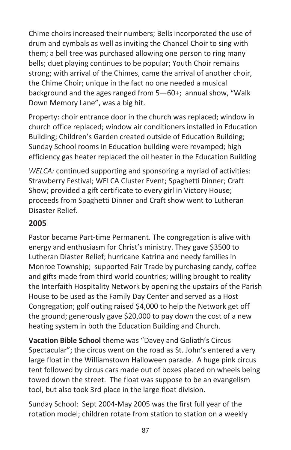Chime choirs increased their numbers; Bells incorporated the use of drum and cymbals as well as inviting the Chancel Choir to sing with them; a bell tree was purchased allowing one person to ring many bells; duet playing continues to be popular; Youth Choir remains strong; with arrival of the Chimes, came the arrival of another choir, the Chime Choir; unique in the fact no one needed a musical background and the ages ranged from 5—60+; annual show, "Walk Down Memory Lane", was a big hit.

Property: choir entrance door in the church was replaced; window in church office replaced; window air conditioners installed in Education Building; Children's Garden created outside of Education Building; Sunday School rooms in Education building were revamped; high efficiency gas heater replaced the oil heater in the Education Building

*WELCA:* continued supporting and sponsoring a myriad of activities: Strawberry Festival; WELCA Cluster Event; Spaghetti Dinner; Craft Show; provided a gift certificate to every girl in Victory House; proceeds from Spaghetti Dinner and Craft show went to Lutheran Disaster Relief.

## **2005**

Pastor became Part-time Permanent. The congregation is alive with energy and enthusiasm for Christ's ministry. They gave \$3500 to Lutheran Diaster Relief; hurricane Katrina and needy families in Monroe Township; supported Fair Trade by purchasing candy, coffee and gifts made from third world countries; willing brought to reality the Interfaith Hospitality Network by opening the upstairs of the Parish House to be used as the Family Day Center and served as a Host Congregation; golf outing raised \$4,000 to help the Network get off the ground; generously gave \$20,000 to pay down the cost of a new heating system in both the Education Building and Church.

**Vacation Bible School** theme was "Davey and Goliath's Circus Spectacular"; the circus went on the road as St. John's entered a very large float in the Williamstown Halloween parade. A huge pink circus tent followed by circus cars made out of boxes placed on wheels being towed down the street. The float was suppose to be an evangelism tool, but also took 3rd place in the large float division.

Sunday School: Sept 2004-May 2005 was the first full year of the rotation model; children rotate from station to station on a weekly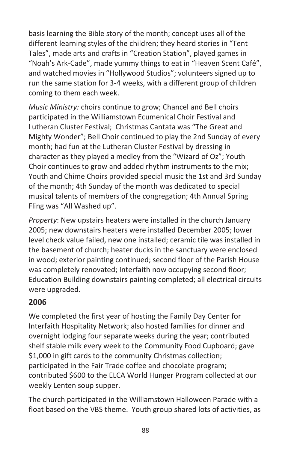basis learning the Bible story of the month; concept uses all of the different learning styles of the children; they heard stories in "Tent Tales", made arts and crafts in "Creation Station", played games in "Noah's Ark-Cade", made yummy things to eat in "Heaven Scent Café", and watched movies in "Hollywood Studios"; volunteers signed up to run the same station for 3-4 weeks, with a different group of children coming to them each week.

*Music Ministry:* choirs continue to grow; Chancel and Bell choirs participated in the Williamstown Ecumenical Choir Festival and Lutheran Cluster Festival; Christmas Cantata was "The Great and Mighty Wonder"; Bell Choir continued to play the 2nd Sunday of every month; had fun at the Lutheran Cluster Festival by dressing in character as they played a medley from the "Wizard of Oz"; Youth Choir continues to grow and added rhythm instruments to the mix; Youth and Chime Choirs provided special music the 1st and 3rd Sunday of the month; 4th Sunday of the month was dedicated to special musical talents of members of the congregation; 4th Annual Spring Fling was "All Washed up".

*Property*: New upstairs heaters were installed in the church January 2005; new downstairs heaters were installed December 2005; lower level check value failed, new one installed; ceramic tile was installed in the basement of church; heater ducks in the sanctuary were enclosed in wood; exterior painting continued; second floor of the Parish House was completely renovated; Interfaith now occupying second floor; Education Building downstairs painting completed; all electrical circuits were upgraded.

## **2006**

We completed the first year of hosting the Family Day Center for Interfaith Hospitality Network; also hosted families for dinner and overnight lodging four separate weeks during the year; contributed shelf stable milk every week to the Community Food Cupboard; gave \$1,000 in gift cards to the community Christmas collection; participated in the Fair Trade coffee and chocolate program; contributed \$600 to the ELCA World Hunger Program collected at our weekly Lenten soup supper.

The church participated in the Williamstown Halloween Parade with a float based on the VBS theme. Youth group shared lots of activities, as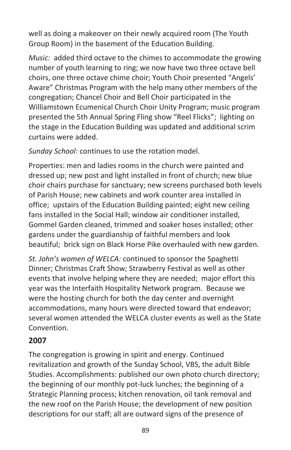well as doing a makeover on their newly acquired room (The Youth Group Room) in the basement of the Education Building.

*Music:* added third octave to the chimes to accommodate the growing number of youth learning to ring; we now have two three octave bell choirs, one three octave chime choir; Youth Choir presented "Angels' Aware" Christmas Program with the help many other members of the congregation; Chancel Choir and Bell Choir participated in the Williamstown Ecumenical Church Choir Unity Program; music program presented the 5th Annual Spring Fling show "Reel Flicks"; lighting on the stage in the Education Building was updated and additional scrim curtains were added.

*Sunday School:* continues to use the rotation model.

Properties: men and ladies rooms in the church were painted and dressed up; new post and light installed in front of church; new blue choir chairs purchase for sanctuary; new screens purchased both levels of Parish House; new cabinets and work counter area installed in office; upstairs of the Education Building painted; eight new ceiling fans installed in the Social Hall; window air conditioner installed, Gommel Garden cleaned, trimmed and soaker hoses installed; other gardens under the guardianship of faithful members and look beautiful; brick sign on Black Horse Pike overhauled with new garden.

*St. John's women of WELCA:* continued to sponsor the Spaghetti Dinner; Christmas Craft Show; Strawberry Festival as well as other events that involve helping where they are needed; major effort this year was the Interfaith Hospitality Network program. Because we were the hosting church for both the day center and overnight accommodations, many hours were directed toward that endeavor; several women attended the WELCA cluster events as well as the State Convention.

# **2007**

The congregation is growing in spirit and energy. Continued revitalization and growth of the Sunday School, VBS, the adult Bible Studies. Accomplishments: published our own photo church directory; the beginning of our monthly pot-luck lunches; the beginning of a Strategic Planning process; kitchen renovation, oil tank removal and the new roof on the Parish House; the development of new position descriptions for our staff; all are outward signs of the presence of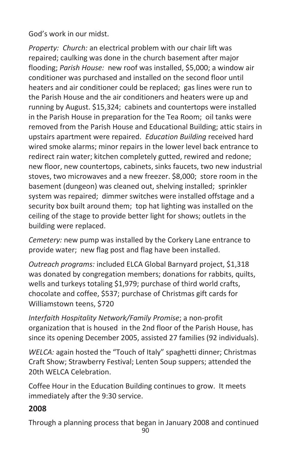God's work in our midst.

*Property: Church:* an electrical problem with our chair lift was repaired; caulking was done in the church basement after major flooding; *Parish House:* new roof was installed, \$5,000; a window air conditioner was purchased and installed on the second floor until heaters and air conditioner could be replaced; gas lines were run to the Parish House and the air conditioners and heaters were up and running by August. \$15,324; cabinets and countertops were installed in the Parish House in preparation for the Tea Room; oil tanks were removed from the Parish House and Educational Building; attic stairs in upstairs apartment were repaired. *Education Building* received hard wired smoke alarms; minor repairs in the lower level back entrance to redirect rain water; kitchen completely gutted, rewired and redone; new floor, new countertops, cabinets, sinks faucets, two new industrial stoves, two microwaves and a new freezer. \$8,000; store room in the basement (dungeon) was cleaned out, shelving installed; sprinkler system was repaired; dimmer switches were installed offstage and a security box built around them; top hat lighting was installed on the ceiling of the stage to provide better light for shows; outlets in the building were replaced.

*Cemetery:* new pump was installed by the Corkery Lane entrance to provide water; new flag post and flag have been installed.

*Outreach programs:* included ELCA Global Barnyard project, \$1,318 was donated by congregation members; donations for rabbits, quilts, wells and turkeys totaling \$1,979; purchase of third world crafts, chocolate and coffee, \$537; purchase of Christmas gift cards for Williamstown teens, \$720

*Interfaith Hospitality Network/Family Promise*; a non-profit organization that is housed in the 2nd floor of the Parish House, has since its opening December 2005, assisted 27 families (92 individuals).

*WELCA:* again hosted the "Touch of Italy" spaghetti dinner; Christmas Craft Show; Strawberry Festival; Lenten Soup suppers; attended the 20th WELCA Celebration.

Coffee Hour in the Education Building continues to grow. It meets immediately after the 9:30 service.

## **2008**

Through a planning process that began in January 2008 and continued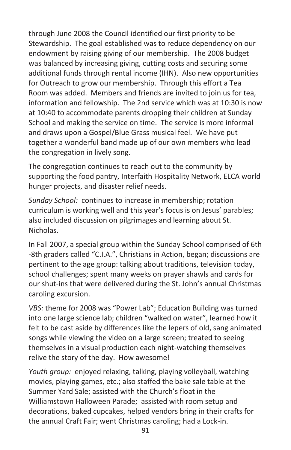through June 2008 the Council identified our first priority to be Stewardship. The goal established was to reduce dependency on our endowment by raising giving of our membership. The 2008 budget was balanced by increasing giving, cutting costs and securing some additional funds through rental income (IHN). Also new opportunities for Outreach to grow our membership. Through this effort a Tea Room was added. Members and friends are invited to join us for tea, information and fellowship. The 2nd service which was at 10:30 is now at 10:40 to accommodate parents dropping their children at Sunday School and making the service on time. The service is more informal and draws upon a Gospel/Blue Grass musical feel. We have put together a wonderful band made up of our own members who lead the congregation in lively song.

The congregation continues to reach out to the community by supporting the food pantry, Interfaith Hospitality Network, ELCA world hunger projects, and disaster relief needs.

*Sunday School:* continues to increase in membership; rotation curriculum is working well and this year's focus is on Jesus' parables; also included discussion on pilgrimages and learning about St. Nicholas.

In Fall 2007, a special group within the Sunday School comprised of 6th -8th graders called "C.I.A.", Christians in Action, began; discussions are pertinent to the age group: talking about traditions, television today, school challenges; spent many weeks on prayer shawls and cards for our shut-ins that were delivered during the St. John's annual Christmas caroling excursion.

*VBS:* theme for 2008 was "Power Lab"; Education Building was turned into one large science lab; children "walked on water", learned how it felt to be cast aside by differences like the lepers of old, sang animated songs while viewing the video on a large screen; treated to seeing themselves in a visual production each night-watching themselves relive the story of the day. How awesome!

*Youth group:* enjoyed relaxing, talking, playing volleyball, watching movies, playing games, etc.; also staffed the bake sale table at the Summer Yard Sale; assisted with the Church's float in the Williamstown Halloween Parade; assisted with room setup and decorations, baked cupcakes, helped vendors bring in their crafts for the annual Craft Fair; went Christmas caroling; had a Lock-in.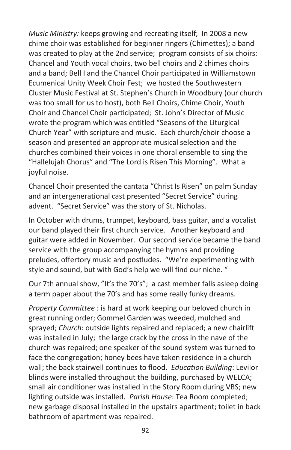*Music Ministry:* keeps growing and recreating itself; In 2008 a new chime choir was established for beginner ringers (Chimettes); a band was created to play at the 2nd service; program consists of six choirs: Chancel and Youth vocal choirs, two bell choirs and 2 chimes choirs and a band; Bell I and the Chancel Choir participated in Williamstown Ecumenical Unity Week Choir Fest; we hosted the Southwestern Cluster Music Festival at St. Stephen's Church in Woodbury (our church was too small for us to host), both Bell Choirs, Chime Choir, Youth Choir and Chancel Choir participated; St. John's Director of Music wrote the program which was entitled "Seasons of the Liturgical Church Year" with scripture and music. Each church/choir choose a season and presented an appropriate musical selection and the churches combined their voices in one choral ensemble to sing the "Hallelujah Chorus" and "The Lord is Risen This Morning". What a joyful noise.

Chancel Choir presented the cantata "Christ Is Risen" on palm Sunday and an intergenerational cast presented "Secret Service" during advent. "Secret Service" was the story of St. Nicholas.

In October with drums, trumpet, keyboard, bass guitar, and a vocalist our band played their first church service. Another keyboard and guitar were added in November. Our second service became the band service with the group accompanying the hymns and providing preludes, offertory music and postludes. "We're experimenting with style and sound, but with God's help we will find our niche. "

Our 7th annual show, "It's the 70's"; a cast member falls asleep doing a term paper about the 70's and has some really funky dreams.

*Property Committee :* is hard at work keeping our beloved church in great running order; Gommel Garden was weeded, mulched and sprayed; *Church*: outside lights repaired and replaced; a new chairlift was installed in July; the large crack by the cross in the nave of the church was repaired; one speaker of the sound system was turned to face the congregation; honey bees have taken residence in a church wall; the back stairwell continues to flood. *Education Building*: Levilor blinds were installed throughout the building, purchased by WELCA; small air conditioner was installed in the Story Room during VBS; new lighting outside was installed. *Parish House*: Tea Room completed; new garbage disposal installed in the upstairs apartment; toilet in back bathroom of apartment was repaired.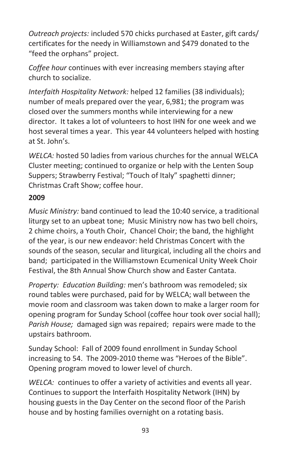*Outreach projects:* included 570 chicks purchased at Easter, gift cards/ certificates for the needy in Williamstown and \$479 donated to the "feed the orphans" project.

*Coffee hour* continues with ever increasing members staying after church to socialize.

*Interfaith Hospitality Network:* helped 12 families (38 individuals); number of meals prepared over the year, 6,981; the program was closed over the summers months while interviewing for a new director. It takes a lot of volunteers to host IHN for one week and we host several times a year. This year 44 volunteers helped with hosting at St. John's.

*WELCA:* hosted 50 ladies from various churches for the annual WELCA Cluster meeting; continued to organize or help with the Lenten Soup Suppers; Strawberry Festival; "Touch of Italy" spaghetti dinner; Christmas Craft Show; coffee hour.

#### **2009**

*Music Ministry:* band continued to lead the 10:40 service, a traditional liturgy set to an upbeat tone; Music Ministry now has two bell choirs, 2 chime choirs, a Youth Choir, Chancel Choir; the band, the highlight of the year, is our new endeavor: held Christmas Concert with the sounds of the season, secular and liturgical, including all the choirs and band; participated in the Williamstown Ecumenical Unity Week Choir Festival, the 8th Annual Show Church show and Easter Cantata.

*Property: Education Building:* men's bathroom was remodeled; six round tables were purchased, paid for by WELCA; wall between the movie room and classroom was taken down to make a larger room for opening program for Sunday School (coffee hour took over social hall); *Parish House;* damaged sign was repaired; repairs were made to the upstairs bathroom.

Sunday School: Fall of 2009 found enrollment in Sunday School increasing to 54. The 2009-2010 theme was "Heroes of the Bible". Opening program moved to lower level of church.

*WELCA:* continues to offer a variety of activities and events all year. Continues to support the Interfaith Hospitality Network (IHN) by housing guests in the Day Center on the second floor of the Parish house and by hosting families overnight on a rotating basis.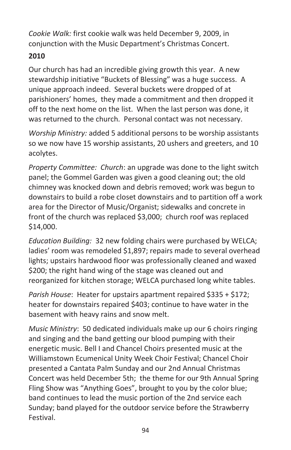*Cookie Walk:* first cookie walk was held December 9, 2009, in conjunction with the Music Department's Christmas Concert.

# **2010**

Our church has had an incredible giving growth this year. A new stewardship initiative "Buckets of Blessing" was a huge success. A unique approach indeed. Several buckets were dropped of at parishioners' homes, they made a commitment and then dropped it off to the next home on the list. When the last person was done, it was returned to the church. Personal contact was not necessary.

*Worship Ministry:* added 5 additional persons to be worship assistants so we now have 15 worship assistants, 20 ushers and greeters, and 10 acolytes.

*Property Committee: Church*: an upgrade was done to the light switch panel; the Gommel Garden was given a good cleaning out; the old chimney was knocked down and debris removed; work was begun to downstairs to build a robe closet downstairs and to partition off a work area for the Director of Music/Organist; sidewalks and concrete in front of the church was replaced \$3,000; church roof was replaced \$14,000.

*Education Building:* 32 new folding chairs were purchased by WELCA; ladies' room was remodeled \$1,897; repairs made to several overhead lights; upstairs hardwood floor was professionally cleaned and waxed \$200; the right hand wing of the stage was cleaned out and reorganized for kitchen storage; WELCA purchased long white tables.

*Parish House*: Heater for upstairs apartment repaired \$335 + \$172; heater for downstairs repaired \$403; continue to have water in the basement with heavy rains and snow melt.

*Music Ministry*: 50 dedicated individuals make up our 6 choirs ringing and singing and the band getting our blood pumping with their energetic music. Bell I and Chancel Choirs presented music at the Williamstown Ecumenical Unity Week Choir Festival; Chancel Choir presented a Cantata Palm Sunday and our 2nd Annual Christmas Concert was held December 5th; the theme for our 9th Annual Spring Fling Show was "Anything Goes", brought to you by the color blue; band continues to lead the music portion of the 2nd service each Sunday; band played for the outdoor service before the Strawberry Festival.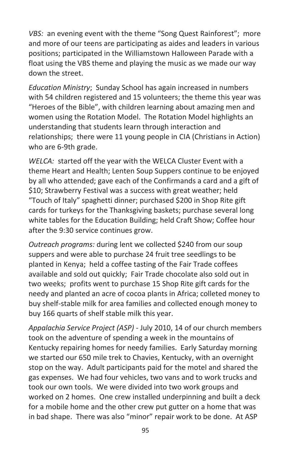*VBS:* an evening event with the theme "Song Quest Rainforest"; more and more of our teens are participating as aides and leaders in various positions; participated in the Williamstown Halloween Parade with a float using the VBS theme and playing the music as we made our way down the street.

*Education Ministry*; Sunday School has again increased in numbers with 54 children registered and 15 volunteers; the theme this year was "Heroes of the Bible", with children learning about amazing men and women using the Rotation Model. The Rotation Model highlights an understanding that students learn through interaction and relationships; there were 11 young people in CIA (Christians in Action) who are 6-9th grade.

*WELCA:* started off the year with the WELCA Cluster Event with a theme Heart and Health; Lenten Soup Suppers continue to be enjoyed by all who attended; gave each of the Confirmands a card and a gift of \$10; Strawberry Festival was a success with great weather; held "Touch of Italy" spaghetti dinner; purchased \$200 in Shop Rite gift cards for turkeys for the Thanksgiving baskets; purchase several long white tables for the Education Building; held Craft Show; Coffee hour after the 9:30 service continues grow.

*Outreach programs:* during lent we collected \$240 from our soup suppers and were able to purchase 24 fruit tree seedlings to be planted in Kenya; held a coffee tasting of the Fair Trade coffees available and sold out quickly; Fair Trade chocolate also sold out in two weeks; profits went to purchase 15 Shop Rite gift cards for the needy and planted an acre of cocoa plants in Africa; colleted money to buy shelf-stable milk for area families and collected enough money to buy 166 quarts of shelf stable milk this year.

*Appalachia Service Project (ASP)* - July 2010, 14 of our church members took on the adventure of spending a week in the mountains of Kentucky repairing homes for needy families. Early Saturday morning we started our 650 mile trek to Chavies, Kentucky, with an overnight stop on the way. Adult participants paid for the motel and shared the gas expenses. We had four vehicles, two vans and to work trucks and took our own tools. We were divided into two work groups and worked on 2 homes. One crew installed underpinning and built a deck for a mobile home and the other crew put gutter on a home that was in bad shape. There was also "minor" repair work to be done. At ASP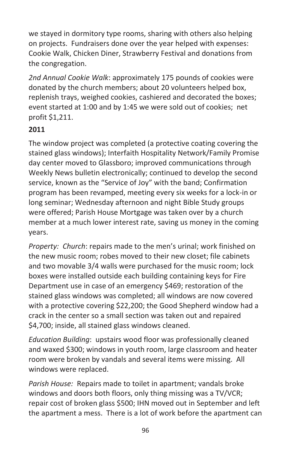we stayed in dormitory type rooms, sharing with others also helping on projects. Fundraisers done over the year helped with expenses: Cookie Walk, Chicken Diner, Strawberry Festival and donations from the congregation.

*2nd Annual Cookie Walk*: approximately 175 pounds of cookies were donated by the church members; about 20 volunteers helped box, replenish trays, weighed cookies, cashiered and decorated the boxes; event started at 1:00 and by 1:45 we were sold out of cookies; net profit \$1,211.

#### **2011**

The window project was completed (a protective coating covering the stained glass windows); Interfaith Hospitality Network/Family Promise day center moved to Glassboro; improved communications through Weekly News bulletin electronically; continued to develop the second service, known as the "Service of Joy" with the band; Confirmation program has been revamped, meeting every six weeks for a lock-in or long seminar; Wednesday afternoon and night Bible Study groups were offered; Parish House Mortgage was taken over by a church member at a much lower interest rate, saving us money in the coming years.

*Property: Church*: repairs made to the men's urinal; work finished on the new music room; robes moved to their new closet; file cabinets and two movable 3/4 walls were purchased for the music room; lock boxes were installed outside each building containing keys for Fire Department use in case of an emergency \$469; restoration of the stained glass windows was completed; all windows are now covered with a protective covering \$22,200; the Good Shepherd window had a crack in the center so a small section was taken out and repaired \$4,700; inside, all stained glass windows cleaned.

*Education Building*: upstairs wood floor was professionally cleaned and waxed \$300; windows in youth room, large classroom and heater room were broken by vandals and several items were missing. All windows were replaced.

*Parish House:* Repairs made to toilet in apartment; vandals broke windows and doors both floors, only thing missing was a TV/VCR; repair cost of broken glass \$500; IHN moved out in September and left the apartment a mess. There is a lot of work before the apartment can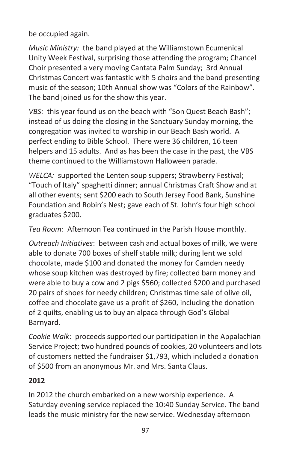be occupied again.

*Music Ministry:* the band played at the Williamstown Ecumenical Unity Week Festival, surprising those attending the program; Chancel Choir presented a very moving Cantata Palm Sunday; 3rd Annual Christmas Concert was fantastic with 5 choirs and the band presenting music of the season; 10th Annual show was "Colors of the Rainbow". The band joined us for the show this year.

*VBS:* this year found us on the beach with "Son Quest Beach Bash"; instead of us doing the closing in the Sanctuary Sunday morning, the congregation was invited to worship in our Beach Bash world. A perfect ending to Bible School. There were 36 children, 16 teen helpers and 15 adults. And as has been the case in the past, the VBS theme continued to the Williamstown Halloween parade.

*WELCA:* supported the Lenten soup suppers; Strawberry Festival; "Touch of Italy" spaghetti dinner; annual Christmas Craft Show and at all other events; sent \$200 each to South Jersey Food Bank, Sunshine Foundation and Robin's Nest; gave each of St. John's four high school graduates \$200.

*Tea Room:* Afternoon Tea continued in the Parish House monthly.

*Outreach Initiatives*: between cash and actual boxes of milk, we were able to donate 700 boxes of shelf stable milk; during lent we sold chocolate, made \$100 and donated the money for Camden needy whose soup kitchen was destroyed by fire; collected barn money and were able to buy a cow and 2 pigs \$560; collected \$200 and purchased 20 pairs of shoes for needy children; Christmas time sale of olive oil, coffee and chocolate gave us a profit of \$260, including the donation of 2 quilts, enabling us to buy an alpaca through God's Global Barnyard.

*Cookie Walk*: proceeds supported our participation in the Appalachian Service Project; two hundred pounds of cookies, 20 volunteers and lots of customers netted the fundraiser \$1,793, which included a donation of \$500 from an anonymous Mr. and Mrs. Santa Claus.

#### **2012**

In 2012 the church embarked on a new worship experience. A Saturday evening service replaced the 10:40 Sunday Service. The band leads the music ministry for the new service. Wednesday afternoon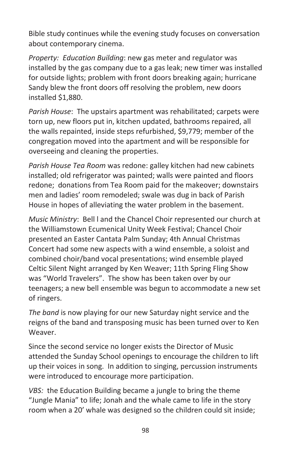Bible study continues while the evening study focuses on conversation about contemporary cinema.

*Property: Education Building*: new gas meter and regulator was installed by the gas company due to a gas leak; new timer was installed for outside lights; problem with front doors breaking again; hurricane Sandy blew the front doors off resolving the problem, new doors installed \$1,880.

*Parish House*: The upstairs apartment was rehabilitated; carpets were torn up, new floors put in, kitchen updated, bathrooms repaired, all the walls repainted, inside steps refurbished, \$9,779; member of the congregation moved into the apartment and will be responsible for overseeing and cleaning the properties.

*Parish House Tea Room* was redone: galley kitchen had new cabinets installed; old refrigerator was painted; walls were painted and floors redone; donations from Tea Room paid for the makeover; downstairs men and ladies' room remodeled; swale was dug in back of Parish House in hopes of alleviating the water problem in the basement.

*Music Ministry*: Bell l and the Chancel Choir represented our church at the Williamstown Ecumenical Unity Week Festival; Chancel Choir presented an Easter Cantata Palm Sunday; 4th Annual Christmas Concert had some new aspects with a wind ensemble, a soloist and combined choir/band vocal presentations; wind ensemble played Celtic Silent Night arranged by Ken Weaver; 11th Spring Fling Show was "World Travelers". The show has been taken over by our teenagers; a new bell ensemble was begun to accommodate a new set of ringers.

*The band* is now playing for our new Saturday night service and the reigns of the band and transposing music has been turned over to Ken Weaver.

Since the second service no longer exists the Director of Music attended the Sunday School openings to encourage the children to lift up their voices in song. In addition to singing, percussion instruments were introduced to encourage more participation.

*VBS:* the Education Building became a jungle to bring the theme "Jungle Mania" to life; Jonah and the whale came to life in the story room when a 20' whale was designed so the children could sit inside;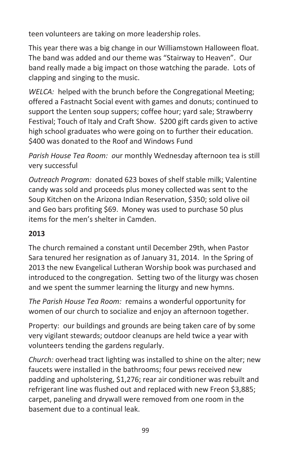teen volunteers are taking on more leadership roles.

This year there was a big change in our Williamstown Halloween float. The band was added and our theme was "Stairway to Heaven". Our band really made a big impact on those watching the parade. Lots of clapping and singing to the music.

*WELCA:* helped with the brunch before the Congregational Meeting; offered a Fastnacht Social event with games and donuts; continued to support the Lenten soup suppers; coffee hour; yard sale; Strawberry Festival; Touch of Italy and Craft Show. \$200 gift cards given to active high school graduates who were going on to further their education. \$400 was donated to the Roof and Windows Fund

*Parish House Tea Room: o*ur monthly Wednesday afternoon tea is still very successful

*Outreach Program:* donated 623 boxes of shelf stable milk; Valentine candy was sold and proceeds plus money collected was sent to the Soup Kitchen on the Arizona Indian Reservation, \$350; sold olive oil and Geo bars profiting \$69. Money was used to purchase 50 plus items for the men's shelter in Camden.

#### **2013**

The church remained a constant until December 29th, when Pastor Sara tenured her resignation as of January 31, 2014. In the Spring of 2013 the new Evangelical Lutheran Worship book was purchased and introduced to the congregation. Setting two of the liturgy was chosen and we spent the summer learning the liturgy and new hymns.

*The Parish House Tea Room:* remains a wonderful opportunity for women of our church to socialize and enjoy an afternoon together.

Property: our buildings and grounds are being taken care of by some very vigilant stewards; outdoor cleanups are held twice a year with volunteers tending the gardens regularly.

*Church:* overhead tract lighting was installed to shine on the alter; new faucets were installed in the bathrooms; four pews received new padding and upholstering, \$1,276; rear air conditioner was rebuilt and refrigerant line was flushed out and replaced with new Freon \$3,885; carpet, paneling and drywall were removed from one room in the basement due to a continual leak.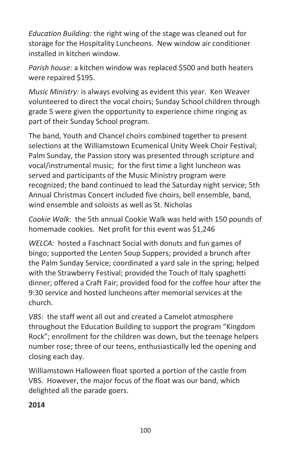*Education Building:* the right wing of the stage was cleaned out for storage for the Hospitality Luncheons. New window air conditioner installed in kitchen window.

*Parish house:* a kitchen window was replaced \$500 and both heaters were repaired \$195.

*Music Ministry:* is always evolving as evident this year. Ken Weaver volunteered to direct the vocal choirs; Sunday School children through grade 5 were given the opportunity to experience chime ringing as part of their Sunday School program.

The band, Youth and Chancel choirs combined together to present selections at the Williamstown Ecumenical Unity Week Choir Festival; Palm Sunday, the Passion story was presented through scripture and vocal/instrumental music; for the first time a light luncheon was served and participants of the Music Ministry program were recognized; the band continued to lead the Saturday night service; 5th Annual Christmas Concert included five choirs, bell ensemble, band, wind ensemble and soloists as well as St. Nicholas

*Cookie Walk*: the 5th annual Cookie Walk was held with 150 pounds of homemade cookies. Net profit for this event was \$1,246

*WELCA:* hosted a Faschnact Social with donuts and fun games of bingo; supported the Lenten Soup Suppers; provided a brunch after the Palm Sunday Service; coordinated a yard sale in the spring; helped with the Strawberry Festival; provided the Touch of Italy spaghetti dinner; offered a Craft Fair; provided food for the coffee hour after the 9:30 service and hosted luncheons after memorial services at the church.

*VBS*: the staff went all out and created a Camelot atmosphere throughout the Education Building to support the program "Kingdom Rock"; enrollment for the children was down, but the teenage helpers number rose; three of our teens, enthusiastically led the opening and closing each day.

Williamstown Halloween float sported a portion of the castle from VBS. However, the major focus of the float was our band, which delighted all the parade goers.

#### **2014**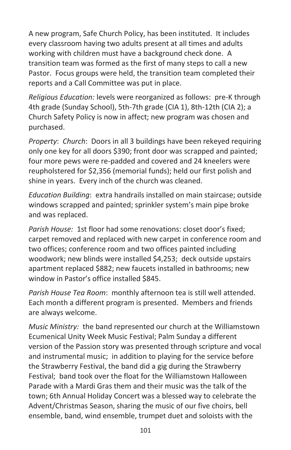A new program, Safe Church Policy, has been instituted. It includes every classroom having two adults present at all times and adults working with children must have a background check done. A transition team was formed as the first of many steps to call a new Pastor. Focus groups were held, the transition team completed their reports and a Call Committee was put in place.

*Religious Education:* levels were reorganized as follows: pre-K through 4th grade (Sunday School), 5th-7th grade (CIA 1), 8th-12th (CIA 2); a Church Safety Policy is now in affect; new program was chosen and purchased.

*Property*: *Church*: Doors in all 3 buildings have been rekeyed requiring only one key for all doors \$390; front door was scrapped and painted; four more pews were re-padded and covered and 24 kneelers were reupholstered for \$2,356 (memorial funds); held our first polish and shine in years. Every inch of the church was cleaned.

*Education Building*: extra handrails installed on main staircase; outside windows scrapped and painted; sprinkler system's main pipe broke and was replaced.

*Parish House:* 1st floor had some renovations: closet door's fixed; carpet removed and replaced with new carpet in conference room and two offices; conference room and two offices painted including woodwork; new blinds were installed \$4,253; deck outside upstairs apartment replaced \$882; new faucets installed in bathrooms; new window in Pastor's office installed \$845.

*Parish House Tea Room*: monthly afternoon tea is still well attended. Each month a different program is presented. Members and friends are always welcome.

*Music Ministry:* the band represented our church at the Williamstown Ecumenical Unity Week Music Festival; Palm Sunday a different version of the Passion story was presented through scripture and vocal and instrumental music; in addition to playing for the service before the Strawberry Festival, the band did a gig during the Strawberry Festival; band took over the float for the Williamstown Halloween Parade with a Mardi Gras them and their music was the talk of the town; 6th Annual Holiday Concert was a blessed way to celebrate the Advent/Christmas Season, sharing the music of our five choirs, bell ensemble, band, wind ensemble, trumpet duet and soloists with the